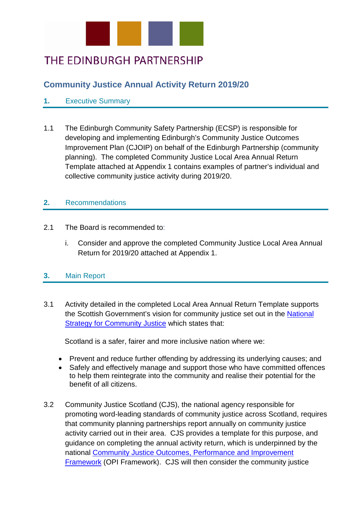

# THE EDINBURGH PARTNERSHIP

# **Community Justice Annual Activity Return 2019/20**

# **1.** Executive Summary

1.1 The Edinburgh Community Safety Partnership (ECSP) is responsible for developing and implementing Edinburgh's Community Justice Outcomes Improvement Plan (CJOIP) on behalf of the Edinburgh Partnership (community planning). The completed Community Justice Local Area Annual Return Template attached at Appendix 1 contains examples of partner's individual and collective community justice activity during 2019/20.

# **2.** Recommendations

- 2.1 The Board is recommended to:
	- i. Consider and approve the completed Community Justice Local Area Annual Return for 2019/20 attached at Appendix 1.

# **3.** Main Report

3.1 Activity detailed in the completed Local Area Annual Return Template supports the Scottish Government's vision for community justice set out in the National Strategy for [Community Justice](https://www.gov.scot/publications/national-strategy-community-justice/) which states that:

Scotland is a safer, fairer and more inclusive nation where we:

- Prevent and reduce further offending by addressing its underlying causes; and
- Safely and effectively manage and support those who have committed offences to help them reintegrate into the community and realise their potential for the benefit of all citizens.
- 3.2 Community Justice Scotland (CJS), the national agency responsible for promoting word-leading standards of community justice across Scotland, requires that community planning partnerships report annually on community justice activity carried out in their area. CJS provides a template for this purpose, and guidance on completing the annual activity return, which is underpinned by the national [Community Justice Outcomes, Performance and Improvement](https://www.gov.scot/publications/community-justice-outcomes-performance-improvement-framework/)  [Framework](https://www.gov.scot/publications/community-justice-outcomes-performance-improvement-framework/) (OPI Framework). CJS will then consider the community justice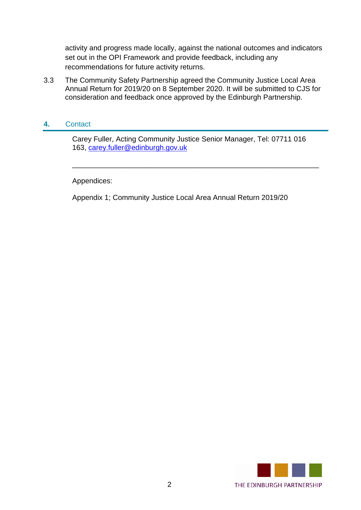activity and progress made locally, against the national outcomes and indicators set out in the OPI Framework and provide feedback, including any recommendations for future activity returns.

3.3 The Community Safety Partnership agreed the Community Justice Local Area Annual Return for 2019/20 on 8 September 2020. It will be submitted to CJS for consideration and feedback once approved by the Edinburgh Partnership.

# **4.** Contact

Carey Fuller, Acting Community Justice Senior Manager, Tel: 07711 016 163, [carey.fuller@edinburgh.gov.uk](mailto:carey.fuller@edinburgh.gov.uk)

\_\_\_\_\_\_\_\_\_\_\_\_\_\_\_\_\_\_\_\_\_\_\_\_\_\_\_\_\_\_\_\_\_\_\_\_\_\_\_\_\_\_\_\_\_\_\_\_\_\_\_\_\_\_\_\_\_\_\_\_\_

Appendices:

Appendix 1; Community Justice Local Area Annual Return 2019/20

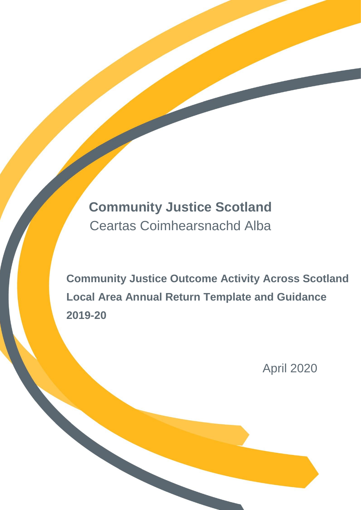# **Community Justice Scotland** Ceartas Coimhearsnachd Alba

**Community Justice Outcome Activity Across Scotland Local Area Annual Return Template and Guidance 2019-20**

April 2020

Page 1 of 46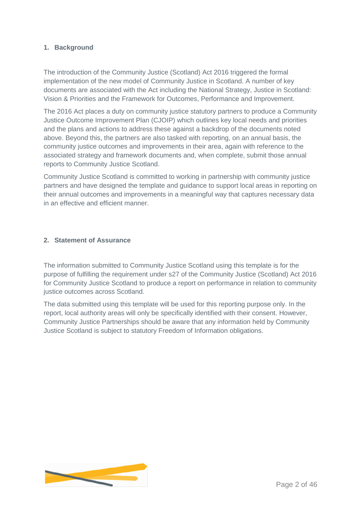# **1. Background**

The introduction of the Community Justice (Scotland) Act 2016 triggered the formal implementation of the new model of Community Justice in Scotland. A number of key documents are associated with the Act including the National Strategy, Justice in Scotland: Vision & Priorities and the Framework for Outcomes, Performance and Improvement.

The 2016 Act places a duty on community justice statutory partners to produce a Community Justice Outcome Improvement Plan (CJOIP) which outlines key local needs and priorities and the plans and actions to address these against a backdrop of the documents noted above. Beyond this, the partners are also tasked with reporting, on an annual basis, the community justice outcomes and improvements in their area, again with reference to the associated strategy and framework documents and, when complete, submit those annual reports to Community Justice Scotland.

Community Justice Scotland is committed to working in partnership with community justice partners and have designed the template and guidance to support local areas in reporting on their annual outcomes and improvements in a meaningful way that captures necessary data in an effective and efficient manner.

# **2. Statement of Assurance**

The information submitted to Community Justice Scotland using this template is for the purpose of fulfilling the requirement under s27 of the Community Justice (Scotland) Act 2016 for Community Justice Scotland to produce a report on performance in relation to community justice outcomes across Scotland.

The data submitted using this template will be used for this reporting purpose only. In the report, local authority areas will only be specifically identified with their consent. However, Community Justice Partnerships should be aware that any information held by Community Justice Scotland is subject to statutory Freedom of Information obligations.

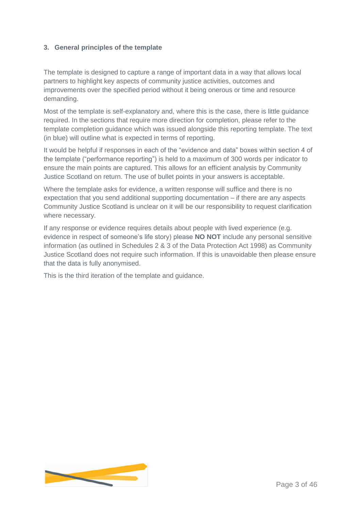# **3. General principles of the template**

The template is designed to capture a range of important data in a way that allows local partners to highlight key aspects of community justice activities, outcomes and improvements over the specified period without it being onerous or time and resource demanding.

Most of the template is self-explanatory and, where this is the case, there is little guidance required. In the sections that require more direction for completion, please refer to the template completion guidance which was issued alongside this reporting template. The text (in blue) will outline what is expected in terms of reporting.

It would be helpful if responses in each of the "evidence and data" boxes within section 4 of the template ("performance reporting") is held to a maximum of 300 words per indicator to ensure the main points are captured. This allows for an efficient analysis by Community Justice Scotland on return. The use of bullet points in your answers is acceptable.

Where the template asks for evidence, a written response will suffice and there is no expectation that you send additional supporting documentation – if there are any aspects Community Justice Scotland is unclear on it will be our responsibility to request clarification where necessary.

If any response or evidence requires details about people with lived experience (e.g. evidence in respect of someone's life story) please **NO NOT** include any personal sensitive information (as outlined in Schedules 2 & 3 of the Data Protection Act 1998) as Community Justice Scotland does not require such information. If this is unavoidable then please ensure that the data is fully anonymised.

This is the third iteration of the template and guidance.

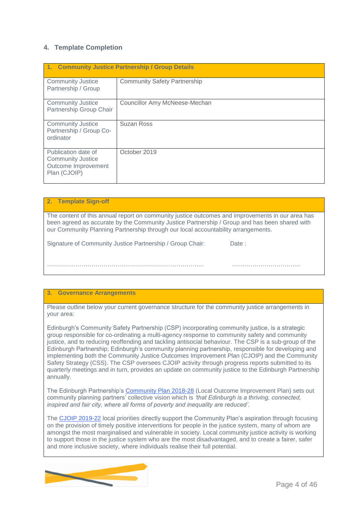# **4. Template Completion**

|                                                                                        | 1. Community Justice Partnership / Group Details |
|----------------------------------------------------------------------------------------|--------------------------------------------------|
| <b>Community Justice</b><br>Partnership / Group                                        | <b>Community Safety Partnership</b>              |
| <b>Community Justice</b><br>Partnership Group Chair                                    | Councillor Amy McNeese-Mechan                    |
| <b>Community Justice</b><br>Partnership / Group Co-<br>ordinator                       | <b>Suzan Ross</b>                                |
| Publication date of<br><b>Community Justice</b><br>Outcome Improvement<br>Plan (CJOIP) | October 2019                                     |

#### **2. Template Sign-off**

The content of this annual report on community justice outcomes and improvements in our area has been agreed as accurate by the Community Justice Partnership / Group and has been shared with our Community Planning Partnership through our local accountability arrangements.

Signature of Community Justice Partnership / Group Chair: Date :

#### **3. Governance Arrangements**

Please outline below your current governance structure for the community justice arrangements in your area:

…………………………………………………………………... …………………………….

Edinburgh's Community Safety Partnership (CSP) incorporating community justice, is a strategic group responsible for co-ordinating a multi-agency response to community safety and community justice, and to reducing reoffending and tackling antisocial behaviour. The CSP is a sub-group of the Edinburgh Partnership; Edinburgh's community planning partnership, responsible for developing and implementing both the Community Justice Outcomes Improvement Plan (CJOIP) and the Community Safety Strategy (CSS). The CSP oversees CJOIP activity through progress reports submitted to its quarterly meetings and in turn, provides an update on community justice to the Edinburgh Partnership annually.

The Edinburgh Partnership's [Community Plan 2018-28](https://www.edinburgh.gov.uk/downloads/file/23664/community-plan-2018-28) (Local Outcome Improvement Plan) sets out community planning partners' collective vision which is *'that Edinburgh is a thriving, connected, inspired and fair city, where all forms of poverty and inequality are reduced'.* 

The [CJOIP 2019-22](https://www.edinburgh.gov.uk/downloads/download/14448/community-justice-outcomes-improvement-plan-2019-22) local priorities directly support the Community Plan's aspiration through focusing on the provision of timely positive interventions for people in the justice system, many of whom are amongst the most marginalised and vulnerable in society. Local community justice activity is working to support those in the justice system who are the most disadvantaged, and to create a fairer, safer and more inclusive society, where individuals realise their full potential.

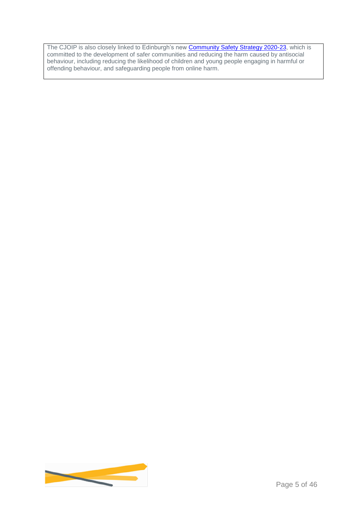The CJOIP is also closely linked to Edinburgh's new **Community Safety Strategy 2020-23**, which is committed to the development of safer communities and reducing the harm caused by antisocial behaviour, including reducing the likelihood of children and young people engaging in harmful or offending behaviour, and safeguarding people from online harm.

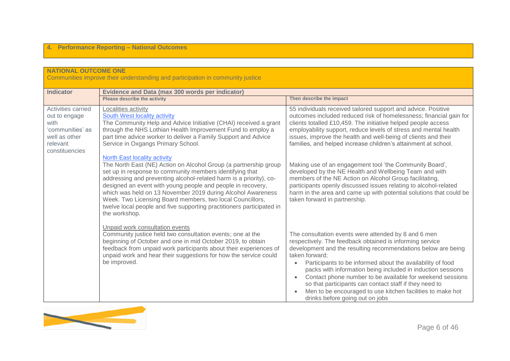# **4. Performance Reporting – National Outcomes**

| <b>NATIONAL OUTCOME ONE</b>                                                                                    | Communities improve their understanding and participation in community justice                                                                                                                                                                                                                                                                                                                                                                                                                                                                                                                                                                                                                                                                                                                                                   |                                                                                                                                                                                                                                                                                                                                                                                                                                                                                                                                                                                                                                                                                                                                                                          |  |  |  |
|----------------------------------------------------------------------------------------------------------------|----------------------------------------------------------------------------------------------------------------------------------------------------------------------------------------------------------------------------------------------------------------------------------------------------------------------------------------------------------------------------------------------------------------------------------------------------------------------------------------------------------------------------------------------------------------------------------------------------------------------------------------------------------------------------------------------------------------------------------------------------------------------------------------------------------------------------------|--------------------------------------------------------------------------------------------------------------------------------------------------------------------------------------------------------------------------------------------------------------------------------------------------------------------------------------------------------------------------------------------------------------------------------------------------------------------------------------------------------------------------------------------------------------------------------------------------------------------------------------------------------------------------------------------------------------------------------------------------------------------------|--|--|--|
| <b>Indicator</b>                                                                                               | <b>Evidence and Data (max 300 words per indicator)</b>                                                                                                                                                                                                                                                                                                                                                                                                                                                                                                                                                                                                                                                                                                                                                                           |                                                                                                                                                                                                                                                                                                                                                                                                                                                                                                                                                                                                                                                                                                                                                                          |  |  |  |
|                                                                                                                | <b>Please describe the activity</b>                                                                                                                                                                                                                                                                                                                                                                                                                                                                                                                                                                                                                                                                                                                                                                                              | Then describe the impact                                                                                                                                                                                                                                                                                                                                                                                                                                                                                                                                                                                                                                                                                                                                                 |  |  |  |
| Activities carried<br>out to engage<br>with<br>'communities' as<br>well as other<br>relevant<br>constituencies | Localities activity<br>South West locality activity<br>The Community Help and Advice Initiative (CHAI) received a grant<br>through the NHS Lothian Health Improvement Fund to employ a<br>part time advice worker to deliver a Family Support and Advice<br>Service in Oxgangs Primary School.<br><b>North East locality activity</b><br>The North East (NE) Action on Alcohol Group (a partnership group<br>set up in response to community members identifying that<br>addressing and preventing alcohol-related harm is a priority), co-<br>designed an event with young people and people in recovery,<br>which was held on 13 November 2019 during Alcohol Awareness<br>Week. Two Licensing Board members, two local Councillors,<br>twelve local people and five supporting practitioners participated in<br>the workshop. | 55 individuals received tailored support and advice. Positive<br>outcomes included reduced risk of homelessness; financial gain for<br>clients totalled £10,459. The initiative helped people access<br>employability support, reduce levels of stress and mental health<br>issues, improve the health and well-being of clients and their<br>families, and helped increase children's attainment at school.<br>Making use of an engagement tool 'the Community Board',<br>developed by the NE Health and Wellbeing Team and with<br>members of the NE Action on Alcohol Group facilitating,<br>participants openly discussed issues relating to alcohol-related<br>harm in the area and came up with potential solutions that could be<br>taken forward in partnership. |  |  |  |
|                                                                                                                | Unpaid work consultation events<br>Community justice held two consultation events; one at the<br>beginning of October and one in mid October 2019, to obtain<br>feedback from unpaid work participants about their experiences of<br>unpaid work and hear their suggestions for how the service could<br>be improved.                                                                                                                                                                                                                                                                                                                                                                                                                                                                                                            | The consultation events were attended by 8 and 6 men<br>respectively. The feedback obtained is informing service<br>development and the resulting recommendations below are being<br>taken forward:<br>Participants to be informed about the availability of food<br>packs with information being included in induction sessions<br>Contact phone number to be available for weekend sessions<br>so that participants can contact staff if they need to<br>Men to be encouraged to use kitchen facilities to make hot<br>drinks before going out on jobs                                                                                                                                                                                                                 |  |  |  |

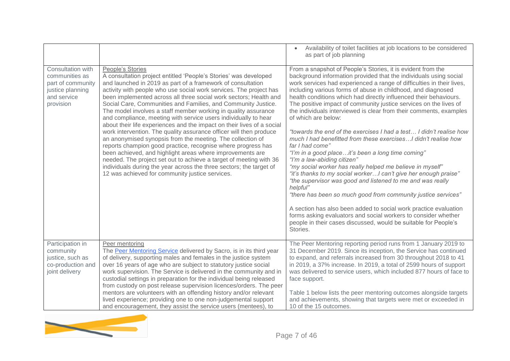|                                                                                                          |                                                                                                                                                                                                                                                                                                                                                                                                                                                                                                                                                                                                                                                                                                                                                                                                                                                                                                                                                                                                                                                 | Availability of toilet facilities at job locations to be considered<br>as part of job planning                                                                                                                                                                                                                                                                                                                                                                                                                                                                                                                                                                                                                                                                                                                                                                                                                                                                                                                                                                                                                                                                                                                                                                    |
|----------------------------------------------------------------------------------------------------------|-------------------------------------------------------------------------------------------------------------------------------------------------------------------------------------------------------------------------------------------------------------------------------------------------------------------------------------------------------------------------------------------------------------------------------------------------------------------------------------------------------------------------------------------------------------------------------------------------------------------------------------------------------------------------------------------------------------------------------------------------------------------------------------------------------------------------------------------------------------------------------------------------------------------------------------------------------------------------------------------------------------------------------------------------|-------------------------------------------------------------------------------------------------------------------------------------------------------------------------------------------------------------------------------------------------------------------------------------------------------------------------------------------------------------------------------------------------------------------------------------------------------------------------------------------------------------------------------------------------------------------------------------------------------------------------------------------------------------------------------------------------------------------------------------------------------------------------------------------------------------------------------------------------------------------------------------------------------------------------------------------------------------------------------------------------------------------------------------------------------------------------------------------------------------------------------------------------------------------------------------------------------------------------------------------------------------------|
| Consultation with<br>communities as<br>part of community<br>justice planning<br>and service<br>provision | People's Stories<br>A consultation project entitled 'People's Stories' was developed<br>and launched in 2019 as part of a framework of consultation<br>activity with people who use social work services. The project has<br>been implemented across all three social work sectors; Health and<br>Social Care, Communities and Families, and Community Justice.<br>The model involves a staff member working in quality assurance<br>and compliance, meeting with service users individually to hear<br>about their life experiences and the impact on their lives of a social<br>work intervention. The quality assurance officer will then produce<br>an anonymised synopsis from the meeting. The collection of<br>reports champion good practice, recognise where progress has<br>been achieved, and highlight areas where improvements are<br>needed. The project set out to achieve a target of meeting with 36<br>individuals during the year across the three sectors; the target of<br>12 was achieved for community justice services. | From a snapshot of People's Stories, it is evident from the<br>background information provided that the individuals using social<br>work services had experienced a range of difficulties in their lives,<br>including various forms of abuse in childhood, and diagnosed<br>health conditions which had directly influenced their behaviours.<br>The positive impact of community justice services on the lives of<br>the individuals interviewed is clear from their comments, examples<br>of which are below:<br>"towards the end of the exercises I had a test I didn't realise how<br>much I had benefitted from these exercises I didn't realise how<br>far I had come"<br>"I'm in a good placeit's been a long time coming"<br>"I'm a law-abiding citizen"<br>"my social worker has really helped me believe in myself"<br>"it's thanks to my social workerI can't give her enough praise"<br>"the supervisor was good and listened to me and was really<br>helpful"<br>"there has been so much good from community justice services"<br>A section has also been added to social work practice evaluation<br>forms asking evaluators and social workers to consider whether<br>people in their cases discussed, would be suitable for People's<br>Stories. |
| Participation in<br>community<br>justice, such as<br>co-production and<br>joint delivery                 | Peer mentoring<br>The Peer Mentoring Service delivered by Sacro, is in its third year<br>of delivery, supporting males and females in the justice system<br>over 16 years of age who are subject to statutory justice social<br>work supervision. The Service is delivered in the community and in<br>custodial settings in preparation for the individual being released<br>from custody on post release supervision licences/orders. The peer<br>mentors are volunteers with an offending history and/or relevant<br>lived experience; providing one to one non-judgemental support<br>and encouragement, they assist the service users (mentees), to                                                                                                                                                                                                                                                                                                                                                                                         | The Peer Mentoring reporting period runs from 1 January 2019 to<br>31 December 2019. Since its inception, the Service has continued<br>to expand, and referrals increased from 30 throughout 2018 to 41<br>in 2019, a 37% increase. In 2019, a total of 2599 hours of support<br>was delivered to service users, which included 877 hours of face to<br>face support.<br>Table 1 below lists the peer mentoring outcomes alongside targets<br>and achievements, showing that targets were met or exceeded in<br>10 of the 15 outcomes.                                                                                                                                                                                                                                                                                                                                                                                                                                                                                                                                                                                                                                                                                                                            |

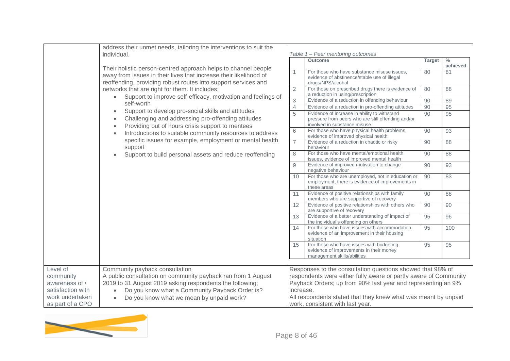|                                                                                                                                    | address their unmet needs, tailoring the interventions to suit the                                                                                                                                                        |                 |                                                                                                                                                                                                |               |                           |
|------------------------------------------------------------------------------------------------------------------------------------|---------------------------------------------------------------------------------------------------------------------------------------------------------------------------------------------------------------------------|-----------------|------------------------------------------------------------------------------------------------------------------------------------------------------------------------------------------------|---------------|---------------------------|
|                                                                                                                                    | individual.                                                                                                                                                                                                               |                 | Table 1 - Peer mentoring outcomes                                                                                                                                                              |               |                           |
|                                                                                                                                    |                                                                                                                                                                                                                           |                 | <b>Outcome</b>                                                                                                                                                                                 | <b>Target</b> | $\frac{0}{0}$<br>achieved |
|                                                                                                                                    | Their holistic person-centred approach helps to channel people<br>away from issues in their lives that increase their likelihood of<br>reoffending, providing robust routes into support services and                     |                 | For those who have substance misuse issues,<br>evidence of abstinence/stable use of illegal<br>drugs/NPS/alcohol                                                                               | 80            | 81                        |
|                                                                                                                                    | networks that are right for them. It includes;<br>Support to improve self-efficacy, motivation and feelings of<br>$\bullet$                                                                                               | $\overline{2}$  | For those on prescribed drugs there is evidence of<br>a reduction in using/prescription                                                                                                        | 80            | 88                        |
|                                                                                                                                    | self-worth                                                                                                                                                                                                                | 3               | Evidence of a reduction in offending behaviour                                                                                                                                                 | 90            | 89                        |
|                                                                                                                                    |                                                                                                                                                                                                                           | $\overline{4}$  | Evidence of a reduction in pro-offending attitudes                                                                                                                                             | 90            | 95                        |
| Support to develop pro-social skills and attitudes<br>$\bullet$<br>Challenging and addressing pro-offending attitudes<br>$\bullet$ | Providing out of hours crisis support to mentees<br>$\bullet$                                                                                                                                                             | 5               | Evidence of increase in ability to withstand<br>pressure from peers who are still offending and/or<br>involved in substance misuse                                                             | 90            | 95                        |
|                                                                                                                                    | Introductions to suitable community resources to address<br>$\bullet$                                                                                                                                                     | 6               | For those who have physical health problems,<br>evidence of improved physical health                                                                                                           | 90            | 93                        |
|                                                                                                                                    | specific issues for example, employment or mental health<br>support                                                                                                                                                       | $\overline{7}$  | Evidence of a reduction in chaotic or risky<br>behaviour                                                                                                                                       | 90            | 88                        |
|                                                                                                                                    | Support to build personal assets and reduce reoffending<br>$\bullet$                                                                                                                                                      | 8               | For those who have mental/emotional health<br>issues, evidence of improved mental health                                                                                                       | 90            | 88                        |
|                                                                                                                                    |                                                                                                                                                                                                                           | $\mathcal{Q}$   | Evidence of improved motivation to change<br>negative behaviour                                                                                                                                | 90            | 93                        |
|                                                                                                                                    |                                                                                                                                                                                                                           | 10              | For those who are unemployed, not in education or<br>employment, there is evidence of improvements in<br>these areas                                                                           | 90            | 83                        |
|                                                                                                                                    |                                                                                                                                                                                                                           | 11              | Evidence of positive relationships with family<br>members who are supportive of recovery                                                                                                       | 90            | 88                        |
|                                                                                                                                    |                                                                                                                                                                                                                           | 12 <sup>°</sup> | Evidence of positive relationships with others who<br>are supportive of recovery                                                                                                               | 90            | 90                        |
|                                                                                                                                    |                                                                                                                                                                                                                           | 13              | Evidence of a better understanding of impact of<br>the individual's offending on others                                                                                                        | 95            | 96                        |
|                                                                                                                                    |                                                                                                                                                                                                                           | 14              | For those who have issues with accommodation.<br>evidence of an improvement in their housing<br>situation                                                                                      | 95            | 100                       |
|                                                                                                                                    |                                                                                                                                                                                                                           | 15              | For those who have issues with budgeting,<br>evidence of improvements in their money<br>management skills/abilities                                                                            | 95            | 95                        |
|                                                                                                                                    |                                                                                                                                                                                                                           |                 |                                                                                                                                                                                                |               |                           |
| Level of<br>community<br>awareness of /<br>satisfaction with<br>work undertaken                                                    | Community payback consultation<br>A public consultation on community payback ran from 1 August<br>2019 to 31 August 2019 asking respondents the following;<br>Do you know what a Community Payback Order is?<br>$\bullet$ | increase.       | Responses to the consultation questions showed that 98% of<br>respondents were either fully aware or partly aware of Community<br>Payback Orders; up from 90% last year and representing an 9% |               |                           |
| as part of a CPO                                                                                                                   | Do you know what we mean by unpaid work?<br>$\bullet$                                                                                                                                                                     |                 | All respondents stated that they knew what was meant by unpaid<br>work, consistent with last year.                                                                                             |               |                           |

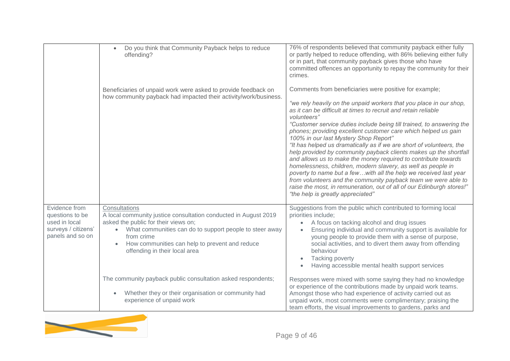|                                                                                              | Do you think that Community Payback helps to reduce<br>$\bullet$<br>offending?                                                                                                                                                                                                       | 76% of respondents believed that community payback either fully<br>or partly helped to reduce offending, with 86% believing either fully<br>or in part, that community payback gives those who have<br>committed offences an opportunity to repay the community for their<br>crimes.                                                                                                                                                                                                                                                                                                                                                                                                                                                                                                                                                                                                                                                 |
|----------------------------------------------------------------------------------------------|--------------------------------------------------------------------------------------------------------------------------------------------------------------------------------------------------------------------------------------------------------------------------------------|--------------------------------------------------------------------------------------------------------------------------------------------------------------------------------------------------------------------------------------------------------------------------------------------------------------------------------------------------------------------------------------------------------------------------------------------------------------------------------------------------------------------------------------------------------------------------------------------------------------------------------------------------------------------------------------------------------------------------------------------------------------------------------------------------------------------------------------------------------------------------------------------------------------------------------------|
|                                                                                              | Beneficiaries of unpaid work were asked to provide feedback on<br>how community payback had impacted their activity/work/business.                                                                                                                                                   | Comments from beneficiaries were positive for example;<br>"we rely heavily on the unpaid workers that you place in our shop,<br>as it can be difficult at times to recruit and retain reliable<br>volunteers"<br>"Customer service duties include being till trained, to answering the<br>phones; providing excellent customer care which helped us gain<br>100% in our last Mystery Shop Report"<br>"It has helped us dramatically as if we are short of volunteers, the<br>help provided by community payback clients makes up the shortfall<br>and allows us to make the money required to contribute towards<br>homelessness, children, modern slavery, as well as people in<br>poverty to name but a fewwith all the help we received last year<br>from volunteers and the community payback team we were able to<br>raise the most, in remuneration, out of all of our Edinburgh stores!"<br>"the help is greatly appreciated" |
| Evidence from<br>questions to be<br>used in local<br>surveys / citizens'<br>panels and so on | Consultations<br>A local community justice consultation conducted in August 2019<br>asked the public for their views on;<br>What communities can do to support people to steer away<br>from crime<br>How communities can help to prevent and reduce<br>offending in their local area | Suggestions from the public which contributed to forming local<br>priorities include;<br>A focus on tacking alcohol and drug issues<br>Ensuring individual and community support is available for<br>young people to provide them with a sense of purpose,<br>social activities, and to divert them away from offending<br>behaviour<br>Tacking poverty<br>Having accessible mental health support services                                                                                                                                                                                                                                                                                                                                                                                                                                                                                                                          |
|                                                                                              | The community payback public consultation asked respondents;<br>Whether they or their organisation or community had<br>$\bullet$<br>experience of unpaid work                                                                                                                        | Responses were mixed with some saying they had no knowledge<br>or experience of the contributions made by unpaid work teams.<br>Amongst those who had experience of activity carried out as<br>unpaid work, most comments were complimentary; praising the<br>team efforts, the visual improvements to gardens, parks and                                                                                                                                                                                                                                                                                                                                                                                                                                                                                                                                                                                                            |

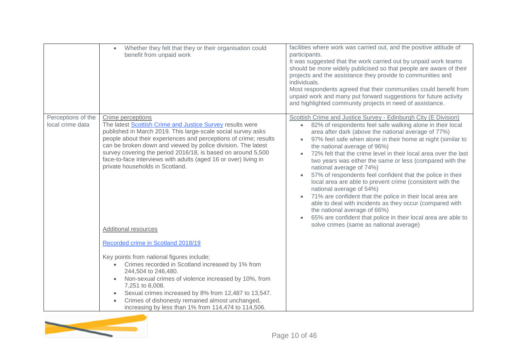|                                        | Whether they felt that they or their organisation could<br>$\bullet$<br>benefit from unpaid work                                                                                                                                                                                                                                                                                                                                                                                 | facilities where work was carried out, and the positive attitude of<br>participants.<br>It was suggested that the work carried out by unpaid work teams<br>should be more widely publicised so that people are aware of their<br>projects and the assistance they provide to communities and<br>individuals.<br>Most respondents agreed that their communities could benefit from<br>unpaid work and many put forward suggestions for future activity<br>and highlighted community projects in need of assistance.                                                                                                                                                                                                                                                                                                                                                                     |  |  |
|----------------------------------------|----------------------------------------------------------------------------------------------------------------------------------------------------------------------------------------------------------------------------------------------------------------------------------------------------------------------------------------------------------------------------------------------------------------------------------------------------------------------------------|----------------------------------------------------------------------------------------------------------------------------------------------------------------------------------------------------------------------------------------------------------------------------------------------------------------------------------------------------------------------------------------------------------------------------------------------------------------------------------------------------------------------------------------------------------------------------------------------------------------------------------------------------------------------------------------------------------------------------------------------------------------------------------------------------------------------------------------------------------------------------------------|--|--|
| Perceptions of the<br>local crime data | Crime perceptions<br>The latest Scottish Crime and Justice Survey results were<br>published in March 2019. This large-scale social survey asks<br>people about their experiences and perceptions of crime; results<br>can be broken down and viewed by police division. The latest<br>survey covering the period 2016/18, is based on around 5,500<br>face-to-face interviews with adults (aged 16 or over) living in<br>private households in Scotland.<br>Additional resources | Scottish Crime and Justice Survey - Edinburgh City (E Division)<br>82% of respondents feel safe walking alone in their local<br>$\bullet$<br>area after dark (above the national average of 77%)<br>97% feel safe when alone in their home at night (similar to<br>the national average of 96%)<br>72% felt that the crime level in their local area over the last<br>two years was either the same or less (compared with the<br>national average of 74%)<br>57% of respondents feel confident that the police in their<br>local area are able to prevent crime (consistent with the<br>national average of 54%)<br>71% are confident that the police in their local area are<br>able to deal with incidents as they occur (compared with<br>the national average of 66%)<br>65% are confident that police in their local area are able to<br>solve crimes (same as national average) |  |  |
|                                        | Recorded crime in Scotland 2018/19<br>Key points from national figures include;                                                                                                                                                                                                                                                                                                                                                                                                  |                                                                                                                                                                                                                                                                                                                                                                                                                                                                                                                                                                                                                                                                                                                                                                                                                                                                                        |  |  |
|                                        | Crimes recorded in Scotland increased by 1% from<br>$\bullet$<br>244,504 to 246,480.<br>Non-sexual crimes of violence increased by 10%, from<br>$\bullet$<br>7,251 to 8,008.<br>Sexual crimes increased by 8% from 12,487 to 13,547.<br>$\bullet$<br>Crimes of dishonesty remained almost unchanged,<br>$\bullet$<br>increasing by less than 1% from 114,474 to 114,506.                                                                                                         |                                                                                                                                                                                                                                                                                                                                                                                                                                                                                                                                                                                                                                                                                                                                                                                                                                                                                        |  |  |

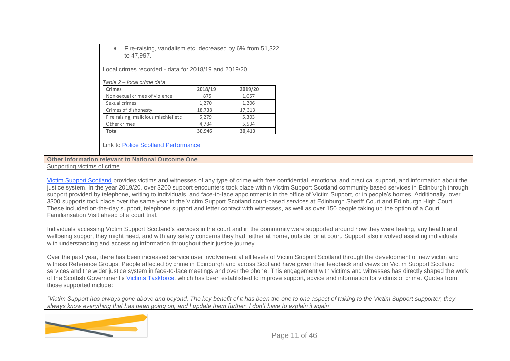| Fire-raising, vandalism etc. decreased by 6% from 51,322<br>$\bullet$<br>to 47,997. |         |         |  |
|-------------------------------------------------------------------------------------|---------|---------|--|
| Local crimes recorded - data for 2018/19 and 2019/20                                |         |         |  |
| Table 2 – local crime data                                                          |         |         |  |
| <b>Crimes</b>                                                                       | 2018/19 | 2019/20 |  |
| Non-sexual crimes of violence                                                       | 875     | 1,057   |  |
| Sexual crimes                                                                       | 1,270   | 1,206   |  |
| Crimes of dishonesty                                                                | 18,738  | 17,313  |  |
| Fire raising, malicious mischief etc                                                | 5,279   | 5,303   |  |
| Other crimes                                                                        | 4,784   | 5,534   |  |
| Total                                                                               | 30,946  | 30,413  |  |

#### **Other information relevant to National Outcome One**

#### Supporting victims of crime

Victim Support [Scotland](https://victimsupport.scot/) provides victims and witnesses of any type of crime with free confidential, emotional and practical support, and information about the justice system. In the year 2019/20, over 3200 support encounters took place within Victim Support Scotland community based services in Edinburgh through support provided by telephone, writing to individuals, and face-to-face appointments in the office of Victim Support, or in people's homes. Additionally, over 3300 supports took place over the same year in the Victim Support Scotland court-based services at Edinburgh Sheriff Court and Edinburgh High Court. These included on-the-day support, telephone support and letter contact with witnesses, as well as over 150 people taking up the option of a Court Familiarisation Visit ahead of a court trial.

Individuals accessing Victim Support Scotland's services in the court and in the community were supported around how they were feeling, any health and wellbeing support they might need, and with any safety concerns they had, either at home, outside, or at court. Support also involved assisting individuals with understanding and accessing information throughout their justice journey.

Over the past year, there has been increased service user involvement at all levels of Victim Support Scotland through the development of new victim and witness Reference Groups. People affected by crime in Edinburgh and across Scotland have given their feedback and views on Victim Support Scotland services and the wider justice system in face-to-face meetings and over the phone. This engagement with victims and witnesses has directly shaped the work of the Scottish Government's Victims [Taskforce,](https://www.gov.scot/groups/victims-taskforce/) which has been established to improve support, advice and information for victims of crime. Quotes from those supported include:

*"Victim Support has always gone above and beyond. The key benefit of it has been the one to one aspect of talking to the Victim Support supporter, they always know everything that has been going on, and I update them further. I don't have to explain it again"*

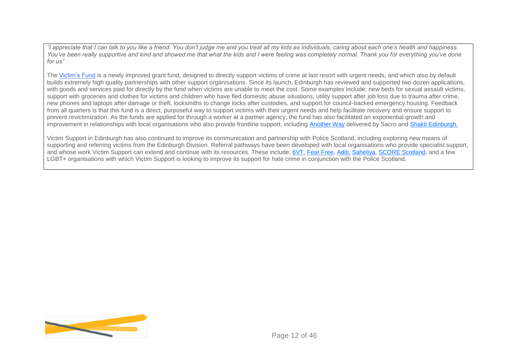*"I appreciate that I can talk to you like a friend. You don't judge me and you treat all my kids as individuals, caring about each one's health and happiness.*  You've been really supportive and kind and showed me that what the kids and I were feeling was completely normal. Thank you for everything you've done *for us"*

The [Victim's Fund](https://victimsupport.scot/victims-fund/#:~:text=The%20Victims) is a newly improved grant fund, designed to directly support victims of crime at last resort with urgent needs, and which also by default builds extremely high quality partnerships with other support organisations. Since its launch, Edinburgh has reviewed and supported two dozen applications, with goods and services paid for directly by the fund when victims are unable to meet the cost. Some examples include; new beds for sexual assault victims, support with groceries and clothes for victims and children who have fled domestic abuse situations, utility support after job loss due to trauma after crime, new phones and laptops after damage or theft, locksmiths to change locks after custodies, and support for council-backed emergency housing. Feedback from all quarters is that this fund is a direct, purposeful way to support victims with their urgent needs and help facilitate recovery and ensure support to prevent revictimization. As the funds are applied for through a worker at a partner agency, the fund has also facilitated an exponential growth and improvement in relationships with local organisations who also provide frontline support, including [Another Way](https://www.sacro.org.uk/services/criminal-justice/another-way-service) delivered by Sacro and [Shakti Edinburgh.](https://shaktiedinburgh.co.uk/)

Victim Support in Edinburgh has also continued to improve its communication and partnership with Police Scotland, including exploring new means of supporting and referring victims from the Edinburgh Division. Referral pathways have been developed with local organisations who provide specialist support, and whose work Victim Support can extend and continue with its resources. These include; [6VT,](https://edspace.org.uk/service/6vt/) [Fear Free,](https://www.sacro.org.uk/services/criminal-justice/fearless) [Aditi,](https://www.sacro.org.uk/aditi) [Saheliya,](http://www.saheliya.co.uk/) [SCORE Scotland,](https://www.scorescotland.org.uk/) and a few LGBT+ organisations with which Victim Support is looking to improve its support for hate crime in conjunction with the Police Scotland.

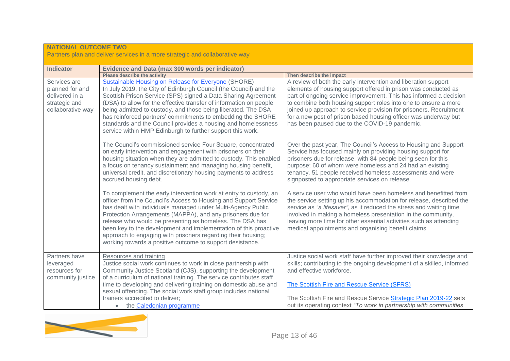| <b>NATIONAL OUTCOME TWO</b>                                                             |                                                                                                                                                                                                                                                                                                                                                                                                                                                                                                                                       |                                                                                                                                                                                                                                                                                                                                                                                                                                                                    |  |  |
|-----------------------------------------------------------------------------------------|---------------------------------------------------------------------------------------------------------------------------------------------------------------------------------------------------------------------------------------------------------------------------------------------------------------------------------------------------------------------------------------------------------------------------------------------------------------------------------------------------------------------------------------|--------------------------------------------------------------------------------------------------------------------------------------------------------------------------------------------------------------------------------------------------------------------------------------------------------------------------------------------------------------------------------------------------------------------------------------------------------------------|--|--|
|                                                                                         | Partners plan and deliver services in a more strategic and collaborative way                                                                                                                                                                                                                                                                                                                                                                                                                                                          |                                                                                                                                                                                                                                                                                                                                                                                                                                                                    |  |  |
| <b>Indicator</b>                                                                        | Evidence and Data (max 300 words per indicator)                                                                                                                                                                                                                                                                                                                                                                                                                                                                                       |                                                                                                                                                                                                                                                                                                                                                                                                                                                                    |  |  |
|                                                                                         | <b>Please describe the activity</b>                                                                                                                                                                                                                                                                                                                                                                                                                                                                                                   | Then describe the impact                                                                                                                                                                                                                                                                                                                                                                                                                                           |  |  |
| Services are<br>planned for and<br>delivered in a<br>strategic and<br>collaborative way | <b>Sustainable Housing on Release for Everyone (SHORE)</b><br>In July 2019, the City of Edinburgh Council (the Council) and the<br>Scottish Prison Service (SPS) signed a Data Sharing Agreement<br>(DSA) to allow for the effective transfer of information on people<br>being admitted to custody, and those being liberated. The DSA<br>has reinforced partners' commitments to embedding the SHORE<br>standards and the Council provides a housing and homelessness<br>service within HMP Edinburgh to further support this work. | A review of both the early intervention and liberation support<br>elements of housing support offered in prison was conducted as<br>part of ongoing service improvement. This has informed a decision<br>to combine both housing support roles into one to ensure a more<br>joined up approach to service provision for prisoners. Recruitment<br>for a new post of prison based housing officer was underway but<br>has been paused due to the COVID-19 pandemic. |  |  |
|                                                                                         | The Council's commissioned service Four Square, concentrated<br>on early intervention and engagement with prisoners on their<br>housing situation when they are admitted to custody. This enabled<br>a focus on tenancy sustainment and managing housing benefit,<br>universal credit, and discretionary housing payments to address<br>accrued housing debt.                                                                                                                                                                         | Over the past year, The Council's Access to Housing and Support<br>Service has focused mainly on providing housing support for<br>prisoners due for release, with 84 people being seen for this<br>purpose; 60 of whom were homeless and 24 had an existing<br>tenancy. 51 people received homeless assessments and were<br>signposted to appropriate services on release.                                                                                         |  |  |
|                                                                                         | To complement the early intervention work at entry to custody, an<br>officer from the Council's Access to Housing and Support Service<br>has dealt with individuals managed under Multi-Agency Public<br>Protection Arrangements (MAPPA), and any prisoners due for<br>release who would be presenting as homeless. The DSA has<br>been key to the development and implementation of this proactive<br>approach to engaging with prisoners regarding their housing;<br>working towards a positive outcome to support desistance.      | A service user who would have been homeless and benefitted from<br>the service setting up his accommodation for release, described the<br>service as "a lifesaver", as it reduced the stress and waiting time<br>involved in making a homeless presentation in the community,<br>leaving more time for other essential activities such as attending<br>medical appointments and organising benefit claims.                                                         |  |  |
| Partners have<br>leveraged<br>resources for<br>community justice                        | Resources and training<br>Justice social work continues to work in close partnership with<br>Community Justice Scotland (CJS), supporting the development<br>of a curriculum of national training. The service contributes staff<br>time to developing and delivering training on domestic abuse and<br>sexual offending. The social work staff group includes national<br>trainers accredited to deliver;<br>the Caledonian programme                                                                                                | Justice social work staff have further improved their knowledge and<br>skills; contributing to the ongoing development of a skilled, informed<br>and effective workforce.<br>The Scottish Fire and Rescue Service (SFRS)<br>The Scottish Fire and Rescue Service Strategic Plan 2019-22 sets<br>out its operating context "To work in partnership with communities                                                                                                 |  |  |

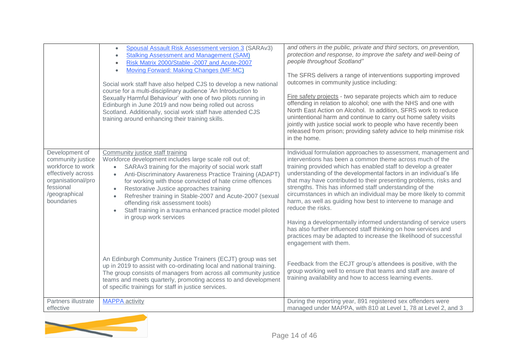|                                                                                                                                                  | <b>Spousal Assault Risk Assessment version 3 (SARAv3)</b><br>$\bullet$<br><b>Stalking Assessment and Management (SAM)</b><br>$\bullet$<br>Risk Matrix 2000/Stable -2007 and Acute-2007<br>$\bullet$<br><b>Moving Forward: Making Changes (MF:MC)</b><br>$\bullet$<br>Social work staff have also helped CJS to develop a new national<br>course for a multi-disciplinary audience 'An Introduction to<br>Sexually Harmful Behaviour' with one of two pilots running in<br>Edinburgh in June 2019 and now being rolled out across<br>Scotland. Additionally, social work staff have attended CJS<br>training around enhancing their training skills. | and others in the public, private and third sectors, on prevention,<br>protection and response, to improve the safety and well-being of<br>people throughout Scotland"<br>The SFRS delivers a range of interventions supporting improved<br>outcomes in community justice including:<br>Fire safety projects - two separate projects which aim to reduce<br>offending in relation to alcohol; one with the NHS and one with<br>North East Action on Alcohol. In addition, SFRS work to reduce<br>unintentional harm and continue to carry out home safety visits<br>jointly with justice social work to people who have recently been<br>released from prison; providing safety advice to help minimise risk<br>in the home.                                                                      |
|--------------------------------------------------------------------------------------------------------------------------------------------------|-----------------------------------------------------------------------------------------------------------------------------------------------------------------------------------------------------------------------------------------------------------------------------------------------------------------------------------------------------------------------------------------------------------------------------------------------------------------------------------------------------------------------------------------------------------------------------------------------------------------------------------------------------|---------------------------------------------------------------------------------------------------------------------------------------------------------------------------------------------------------------------------------------------------------------------------------------------------------------------------------------------------------------------------------------------------------------------------------------------------------------------------------------------------------------------------------------------------------------------------------------------------------------------------------------------------------------------------------------------------------------------------------------------------------------------------------------------------|
| Development of<br>community justice<br>workforce to work<br>effectively across<br>organisational/pro<br>fessional<br>/geographical<br>boundaries | Community justice staff training<br>Workforce development includes large scale roll out of;<br>SARAv3 training for the majority of social work staff<br>$\bullet$<br>Anti-Discriminatory Awareness Practice Training (ADAPT)<br>$\bullet$<br>for working with those convicted of hate crime offences<br>Restorative Justice approaches training<br>$\bullet$<br>Refresher training in Stable-2007 and Acute-2007 (sexual<br>$\bullet$<br>offending risk assessment tools)<br>Staff training in a trauma enhanced practice model piloted<br>$\bullet$<br>in group work services                                                                      | Individual formulation approaches to assessment, management and<br>interventions has been a common theme across much of the<br>training provided which has enabled staff to develop a greater<br>understanding of the developmental factors in an individual's life<br>that may have contributed to their presenting problems, risks and<br>strengths. This has informed staff understanding of the<br>circumstances in which an individual may be more likely to commit<br>harm, as well as guiding how best to intervene to manage and<br>reduce the risks.<br>Having a developmentally informed understanding of service users<br>has also further influenced staff thinking on how services and<br>practices may be adapted to increase the likelihood of successful<br>engagement with them. |
|                                                                                                                                                  | An Edinburgh Community Justice Trainers (ECJT) group was set<br>up in 2019 to assist with co-ordinating local and national training.<br>The group consists of managers from across all community justice<br>teams and meets quarterly, promoting access to and development<br>of specific trainings for staff in justice services.                                                                                                                                                                                                                                                                                                                  | Feedback from the ECJT group's attendees is positive, with the<br>group working well to ensure that teams and staff are aware of<br>training availability and how to access learning events.                                                                                                                                                                                                                                                                                                                                                                                                                                                                                                                                                                                                      |
| Partners illustrate<br>effective                                                                                                                 | <b>MAPPA</b> activity                                                                                                                                                                                                                                                                                                                                                                                                                                                                                                                                                                                                                               | During the reporting year, 891 registered sex offenders were<br>managed under MAPPA, with 810 at Level 1, 78 at Level 2, and 3                                                                                                                                                                                                                                                                                                                                                                                                                                                                                                                                                                                                                                                                    |

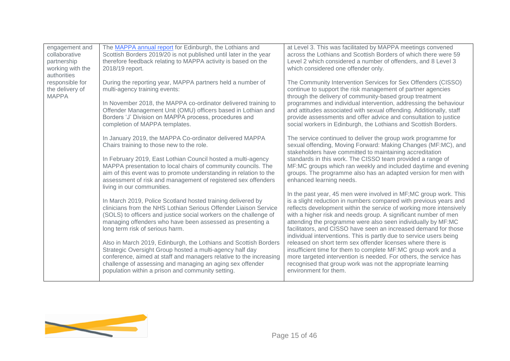| engagement and<br>collaborative<br>partnership<br>working with the<br>authorities | The MAPPA annual report for Edinburgh, the Lothians and<br>Scottish Borders 2019/20 is not published until later in the year<br>therefore feedback relating to MAPPA activity is based on the<br>2018/19 report.                                                                                                                                                                                                                                                                                                                                                                                                             | at Level 3. This was facilitated by MAPPA meetings convened<br>across the Lothians and Scottish Borders of which there were 59<br>Level 2 which considered a number of offenders, and 8 Level 3<br>which considered one offender only.                                                                                                                                                                                                                                                                                                                                                                                                                                                                                                                                                  |
|-----------------------------------------------------------------------------------|------------------------------------------------------------------------------------------------------------------------------------------------------------------------------------------------------------------------------------------------------------------------------------------------------------------------------------------------------------------------------------------------------------------------------------------------------------------------------------------------------------------------------------------------------------------------------------------------------------------------------|-----------------------------------------------------------------------------------------------------------------------------------------------------------------------------------------------------------------------------------------------------------------------------------------------------------------------------------------------------------------------------------------------------------------------------------------------------------------------------------------------------------------------------------------------------------------------------------------------------------------------------------------------------------------------------------------------------------------------------------------------------------------------------------------|
| responsible for<br>the delivery of<br><b>MAPPA</b>                                | During the reporting year, MAPPA partners held a number of<br>multi-agency training events:<br>In November 2018, the MAPPA co-ordinator delivered training to<br>Offender Management Unit (OMU) officers based in Lothian and<br>Borders 'J' Division on MAPPA process, procedures and<br>completion of MAPPA templates.                                                                                                                                                                                                                                                                                                     | The Community Intervention Services for Sex Offenders (CISSO)<br>continue to support the risk management of partner agencies<br>through the delivery of community-based group treatment<br>programmes and individual intervention, addressing the behaviour<br>and attitudes associated with sexual offending. Additionally, staff<br>provide assessments and offer advice and consultation to justice<br>social workers in Edinburgh, the Lothians and Scottish Borders.                                                                                                                                                                                                                                                                                                               |
|                                                                                   | In January 2019, the MAPPA Co-ordinator delivered MAPPA<br>Chairs training to those new to the role.<br>In February 2019, East Lothian Council hosted a multi-agency<br>MAPPA presentation to local chairs of community councils. The<br>aim of this event was to promote understanding in relation to the<br>assessment of risk and management of registered sex offenders<br>living in our communities.                                                                                                                                                                                                                    | The service continued to deliver the group work programme for<br>sexual offending, Moving Forward: Making Changes (MF:MC), and<br>stakeholders have committed to maintaining accreditation<br>standards in this work. The CISSO team provided a range of<br>MF:MC groups which ran weekly and included daytime and evening<br>groups. The programme also has an adapted version for men with<br>enhanced learning needs.                                                                                                                                                                                                                                                                                                                                                                |
|                                                                                   | In March 2019, Police Scotland hosted training delivered by<br>clinicians from the NHS Lothian Serious Offender Liaison Service<br>(SOLS) to officers and justice social workers on the challenge of<br>managing offenders who have been assessed as presenting a<br>long term risk of serious harm.<br>Also in March 2019, Edinburgh, the Lothians and Scottish Borders<br>Strategic Oversight Group hosted a multi-agency half day<br>conference, aimed at staff and managers relative to the increasing<br>challenge of assessing and managing an aging sex offender<br>population within a prison and community setting. | In the past year, 45 men were involved in MF; MC group work. This<br>is a slight reduction in numbers compared with previous years and<br>reflects development within the service of working more intensively<br>with a higher risk and needs group. A significant number of men<br>attending the programme were also seen individually by MF:MC<br>facilitators, and CISSO have seen an increased demand for those<br>individual interventions. This is partly due to service users being<br>released on short term sex offender licenses where there is<br>insufficient time for them to complete MF:MC group work and a<br>more targeted intervention is needed. For others, the service has<br>recognised that group work was not the appropriate learning<br>environment for them. |

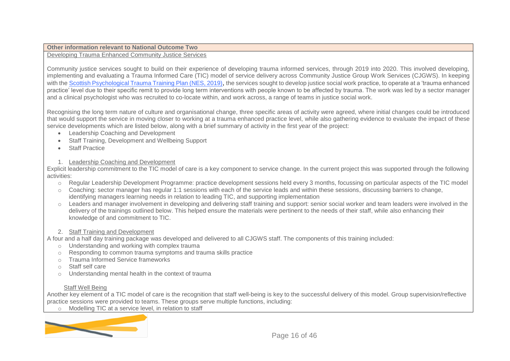#### **Other information relevant to National Outcome Two**

# Developing Trauma Enhanced Community Justice Services

Community justice services sought to build on their experience of developing trauma informed services, through 2019 into 2020. This involved developing, implementing and evaluating a Trauma Informed Care (TIC) model of service delivery across Community Justice Group Work Services (CJGWS). In keeping with the [Scottish Psychological Trauma Training Plan \(NES, 2019\)](https://www.nes.scot.nhs.uk/media/4321706/Scottish%20Psychological%20Trauma%20Training%20Plan%202019.pdf), the services sought to develop justice social work practice, to operate at a 'trauma enhanced practice' level due to their specific remit to provide long term interventions with people known to be affected by trauma. The work was led by a sector manager and a clinical psychologist who was recruited to co-locate within, and work across, a range of teams in justice social work.

Recognising the long term nature of culture and organisational change, three specific areas of activity were agreed, where initial changes could be introduced that would support the service in moving closer to working at a trauma enhanced practice level, while also gathering evidence to evaluate the impact of these service developments which are listed below, along with a brief summary of activity in the first year of the project:

- Leadership Coaching and Development
- Staff Training, Development and Wellbeing Support
- Staff Practice

#### 1. Leadership Coaching and Development

Explicit leadership commitment to the TIC model of care is a key component to service change. In the current project this was supported through the following activities:

- o Regular Leadership Development Programme: practice development sessions held every 3 months, focussing on particular aspects of the TIC model
- o Coaching: sector manager has regular 1:1 sessions with each of the service leads and within these sessions, discussing barriers to change, identifying managers learning needs in relation to leading TIC, and supporting implementation
- $\circ$  Leaders and manager involvement in developing and delivering staff training and support: senior social worker and team leaders were involved in the delivery of the trainings outlined below. This helped ensure the materials were pertinent to the needs of their staff, while also enhancing their knowledge of and commitment to TIC.

# 2. Staff Training and Development

A four and a half day training package was developed and delivered to all CJGWS staff. The components of this training included:

- o Understanding and working with complex trauma
- o Responding to common trauma symptoms and trauma skills practice
- o Trauma Informed Service frameworks
- o Staff self care
- o Understanding mental health in the context of trauma

# Staff Well Being

Another key element of a TIC model of care is the recognition that staff well-being is key to the successful delivery of this model. Group supervision/reflective practice sessions were provided to teams. These groups serve multiple functions, including:

o Modelling TIC at a service level, in relation to staff

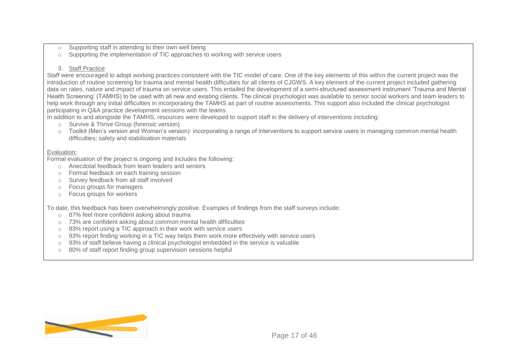- o Supporting staff in attending to their own well being
- o Supporting the implementation of TIC approaches to working with service users

#### 3. Staff Practice

Staff were encouraged to adopt working practices consistent with the TIC model of care. One of the key elements of this within the current project was the introduction of routine screening for trauma and mental health difficulties for all clients of CJGWS. A key element of the current project included gathering data on rates, nature and impact of trauma on service users. This entailed the development of a semi-structured assessment instrument 'Trauma and Mental Health Screening' (TAMHS) to be used with all new and existing clients. The clinical psychologist was available to senior social workers and team leaders to help work through any initial difficulties in incorporating the TAMHS as part of routine assessments. This support also included the clinical psychologist participating in Q&A practice development sessions with the teams.

In addition to and alongside the TAMHS, resources were developed to support staff in the delivery of interventions including:

- o Survive & Thrive Group (forensic version)
- o Toolkit (Men's version and Women's version): incorporating a range of interventions to support service users in managing common mental health difficulties; safety and stabilisation materials

#### Evaluation:

Formal evaluation of the project is ongoing and includes the following:

- o Anecdotal feedback from team leaders and seniors
- o Formal feedback on each training session
- o Survey feedback from all staff involved
- o Focus groups for managers
- o Focus groups for workers

To date, this feedback has been overwhelmingly positive. Examples of findings from the staff surveys include:

- o 87% feel more confident asking about trauma
- o 73% are confident asking about common mental health difficulties
- o 83% report using a TIC approach in their work with service users
- $\circ$  93% report finding working in a TIC way helps them work more effectively with service users
- $\circ$  93% of staff believe having a clinical psychologist embedded in the service is valuable
- o 80% of staff report finding group supervision sessions helpful

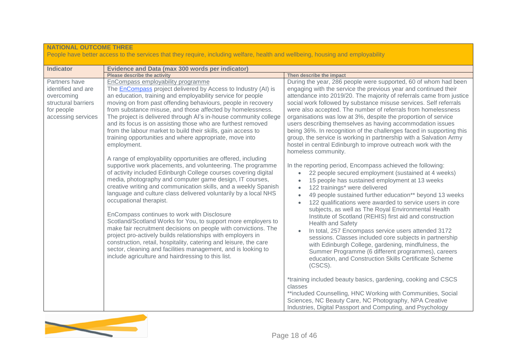| <b>NATIONAL OUTCOME THREE</b>                                                                                | People have better access to the services that they require, including welfare, health and wellbeing, housing and employability                                                                                                                                                                                                                                                                                                                                                                                                                                                                                                                                                                                                                                                                                                                                                                                                                                                                                                                                                                                                                                                                                                                                                                                                                                                                                                                                    |                                                                                                                                                                                                                                                                                                                                                                                                                                                                                                                                                                                                                                                                                                                                                                                                                                                                                                                                                                                                                                                                                                                                                                                                                                                                                                                                                                                                                                                                                                                                                                                                                                                                                                                      |  |  |
|--------------------------------------------------------------------------------------------------------------|--------------------------------------------------------------------------------------------------------------------------------------------------------------------------------------------------------------------------------------------------------------------------------------------------------------------------------------------------------------------------------------------------------------------------------------------------------------------------------------------------------------------------------------------------------------------------------------------------------------------------------------------------------------------------------------------------------------------------------------------------------------------------------------------------------------------------------------------------------------------------------------------------------------------------------------------------------------------------------------------------------------------------------------------------------------------------------------------------------------------------------------------------------------------------------------------------------------------------------------------------------------------------------------------------------------------------------------------------------------------------------------------------------------------------------------------------------------------|----------------------------------------------------------------------------------------------------------------------------------------------------------------------------------------------------------------------------------------------------------------------------------------------------------------------------------------------------------------------------------------------------------------------------------------------------------------------------------------------------------------------------------------------------------------------------------------------------------------------------------------------------------------------------------------------------------------------------------------------------------------------------------------------------------------------------------------------------------------------------------------------------------------------------------------------------------------------------------------------------------------------------------------------------------------------------------------------------------------------------------------------------------------------------------------------------------------------------------------------------------------------------------------------------------------------------------------------------------------------------------------------------------------------------------------------------------------------------------------------------------------------------------------------------------------------------------------------------------------------------------------------------------------------------------------------------------------------|--|--|
| <b>Indicator</b>                                                                                             | <b>Evidence and Data (max 300 words per indicator)</b>                                                                                                                                                                                                                                                                                                                                                                                                                                                                                                                                                                                                                                                                                                                                                                                                                                                                                                                                                                                                                                                                                                                                                                                                                                                                                                                                                                                                             |                                                                                                                                                                                                                                                                                                                                                                                                                                                                                                                                                                                                                                                                                                                                                                                                                                                                                                                                                                                                                                                                                                                                                                                                                                                                                                                                                                                                                                                                                                                                                                                                                                                                                                                      |  |  |
|                                                                                                              | <b>Please describe the activity</b>                                                                                                                                                                                                                                                                                                                                                                                                                                                                                                                                                                                                                                                                                                                                                                                                                                                                                                                                                                                                                                                                                                                                                                                                                                                                                                                                                                                                                                | Then describe the impact                                                                                                                                                                                                                                                                                                                                                                                                                                                                                                                                                                                                                                                                                                                                                                                                                                                                                                                                                                                                                                                                                                                                                                                                                                                                                                                                                                                                                                                                                                                                                                                                                                                                                             |  |  |
| Partners have<br>identified and are<br>overcoming<br>structural barriers<br>for people<br>accessing services | EnCompass employability programme<br>The <b>EnCompass</b> project delivered by Access to Industry (AI) is<br>an education, training and employability service for people<br>moving on from past offending behaviours, people in recovery<br>from substance misuse, and those affected by homelessness.<br>The project is delivered through Al's in-house community college<br>and its focus is on assisting those who are furthest removed<br>from the labour market to build their skills, gain access to<br>training opportunities and where appropriate, move into<br>employment.<br>A range of employability opportunities are offered, including<br>supportive work placements, and volunteering. The programme<br>of activity included Edinburgh College courses covering digital<br>media, photography and computer game design, IT courses,<br>creative writing and communication skills, and a weekly Spanish<br>language and culture class delivered voluntarily by a local NHS<br>occupational therapist.<br>EnCompass continues to work with Disclosure<br>Scotland/Scotland Works for You, to support more employers to<br>make fair recruitment decisions on people with convictions. The<br>project pro-actively builds relationships with employers in<br>construction, retail, hospitality, catering and leisure, the care<br>sector, cleaning and facilities management, and is looking to<br>include agriculture and hairdressing to this list. | During the year, 286 people were supported, 60 of whom had been<br>engaging with the service the previous year and continued their<br>attendance into 2019/20. The majority of referrals came from justice<br>social work followed by substance misuse services. Self referrals<br>were also accepted. The number of referrals from homelessness<br>organisations was low at 3%, despite the proportion of service<br>users describing themselves as having accommodation issues<br>being 36%. In recognition of the challenges faced in supporting this<br>group, the service is working in partnership with a Salvation Army<br>hostel in central Edinburgh to improve outreach work with the<br>homeless community.<br>In the reporting period, Encompass achieved the following:<br>22 people secured employment (sustained at 4 weeks)<br>$\bullet$<br>15 people has sustained employment at 13 weeks<br>$\bullet$<br>122 trainings* were delivered<br>$\bullet$<br>49 people sustained further education** beyond 13 weeks<br>$\bullet$<br>122 qualifications were awarded to service users in core<br>$\bullet$<br>subjects, as well as The Royal Environmental Health<br>Institute of Scotland (REHIS) first aid and construction<br><b>Health and Safety</b><br>In total, 257 Encompass service users attended 3172<br>sessions. Classes included core subjects in partnership<br>with Edinburgh College, gardening, mindfulness, the<br>Summer Programme (6 different programmes), careers<br>education, and Construction Skills Certificate Scheme<br>(CSCS).<br>*training included beauty basics, gardening, cooking and CSCS<br>classes<br>**included Counselling, HNC Working with Communities, Social |  |  |
|                                                                                                              |                                                                                                                                                                                                                                                                                                                                                                                                                                                                                                                                                                                                                                                                                                                                                                                                                                                                                                                                                                                                                                                                                                                                                                                                                                                                                                                                                                                                                                                                    | Sciences, NC Beauty Care, NC Photography, NPA Creative<br>Industries, Digital Passport and Computing, and Psychology                                                                                                                                                                                                                                                                                                                                                                                                                                                                                                                                                                                                                                                                                                                                                                                                                                                                                                                                                                                                                                                                                                                                                                                                                                                                                                                                                                                                                                                                                                                                                                                                 |  |  |

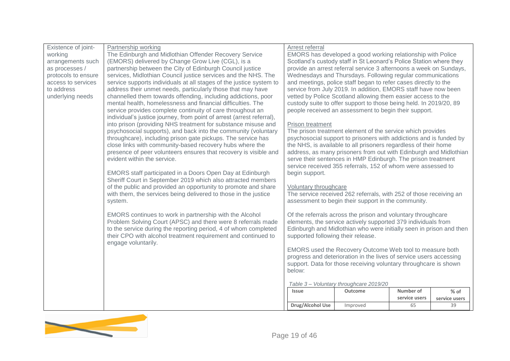| Existence of joint- | Partnership working                                                   | Arrest referral                                                    |                                                                     |               |               |
|---------------------|-----------------------------------------------------------------------|--------------------------------------------------------------------|---------------------------------------------------------------------|---------------|---------------|
| working             | The Edinburgh and Midlothian Offender Recovery Service                | EMORS has developed a good working relationship with Police        |                                                                     |               |               |
| arrangements such   | (EMORS) delivered by Change Grow Live (CGL), is a                     | Scotland's custody staff in St Leonard's Police Station where they |                                                                     |               |               |
| as processes /      | partnership between the City of Edinburgh Council justice             | provide an arrest referral service 3 afternoons a week on Sundays, |                                                                     |               |               |
| protocols to ensure | services, Midlothian Council justice services and the NHS. The        | Wednesdays and Thursdays. Following regular communications         |                                                                     |               |               |
| access to services  | service supports individuals at all stages of the justice system to   | and meetings, police staff began to refer cases directly to the    |                                                                     |               |               |
| to address          | address their unmet needs, particularly those that may have           | service from July 2019. In addition, EMORS staff have now been     |                                                                     |               |               |
| underlying needs    | channelled them towards offending, including addictions, poor         |                                                                    | vetted by Police Scotland allowing them easier access to the        |               |               |
|                     | mental health, homelessness and financial difficulties. The           |                                                                    | custody suite to offer support to those being held. In 2019/20, 89  |               |               |
|                     | service provides complete continuity of care throughout an            |                                                                    | people received an assessment to begin their support.               |               |               |
|                     | individual's justice journey, from point of arrest (arrest referral), |                                                                    |                                                                     |               |               |
|                     | into prison (providing NHS treatment for substance misuse and         | Prison treatment                                                   |                                                                     |               |               |
|                     | psychosocial supports), and back into the community (voluntary        |                                                                    | The prison treatment element of the service which provides          |               |               |
|                     | throughcare), including prison gate pickups. The service has          |                                                                    | psychosocial support to prisoners with addictions and is funded by  |               |               |
|                     | close links with community-based recovery hubs where the              |                                                                    | the NHS, is available to all prisoners regardless of their home     |               |               |
|                     | presence of peer volunteers ensures that recovery is visible and      |                                                                    | address, as many prisoners from out with Edinburgh and Midlothian   |               |               |
|                     | evident within the service.                                           |                                                                    | serve their sentences in HMP Edinburgh. The prison treatment        |               |               |
|                     |                                                                       |                                                                    | service received 355 referrals, 152 of whom were assessed to        |               |               |
|                     | EMORS staff participated in a Doors Open Day at Edinburgh             | begin support.                                                     |                                                                     |               |               |
|                     | Sheriff Court in September 2019 which also attracted members          |                                                                    |                                                                     |               |               |
|                     | of the public and provided an opportunity to promote and share        | Voluntary throughcare                                              |                                                                     |               |               |
|                     | with them, the services being delivered to those in the justice       |                                                                    | The service received 262 referrals, with 252 of those receiving an  |               |               |
|                     | system.                                                               |                                                                    | assessment to begin their support in the community.                 |               |               |
|                     |                                                                       |                                                                    |                                                                     |               |               |
|                     | EMORS continues to work in partnership with the Alcohol               |                                                                    | Of the referrals across the prison and voluntary throughcare        |               |               |
|                     | Problem Solving Court (APSC) and there were 8 referrals made          |                                                                    | elements, the service actively supported 379 individuals from       |               |               |
|                     | to the service during the reporting period, 4 of whom completed       |                                                                    | Edinburgh and Midlothian who were initially seen in prison and then |               |               |
|                     | their CPO with alcohol treatment requirement and continued to         | supported following their release.                                 |                                                                     |               |               |
|                     | engage voluntarily.                                                   |                                                                    |                                                                     |               |               |
|                     |                                                                       |                                                                    | EMORS used the Recovery Outcome Web tool to measure both            |               |               |
|                     |                                                                       |                                                                    | progress and deterioration in the lives of service users accessing  |               |               |
|                     |                                                                       |                                                                    | support. Data for those receiving voluntary throughcare is shown    |               |               |
|                     |                                                                       | below:                                                             |                                                                     |               |               |
|                     |                                                                       |                                                                    |                                                                     |               |               |
|                     |                                                                       |                                                                    | Table 3- Voluntary throughcare 2019/20                              |               |               |
|                     |                                                                       | <b>Issue</b>                                                       | Outcome                                                             | Number of     | $%$ of        |
|                     |                                                                       |                                                                    |                                                                     | service users | service users |
|                     |                                                                       | Drug/Alcohol Use                                                   | Improved                                                            | 65            | 39            |

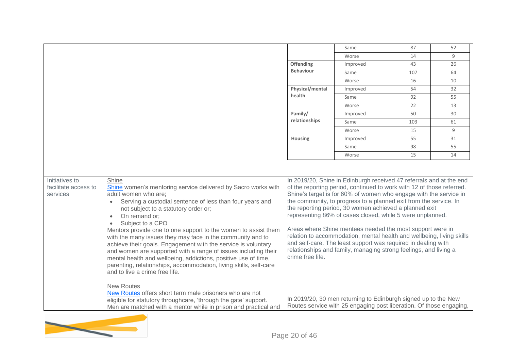|                                                    |                                                                                                                                                                                                                                                                                                                                                                                                                                                                                                                                                                                                                                                                                                                                                                                                                                                                                                                                     |                  | Same                                                                                                                                                                                                                                                                                                                                                                                                                                                                                                                                                                                                                                                                                                                                                                                                                              | 87  | 52 |
|----------------------------------------------------|-------------------------------------------------------------------------------------------------------------------------------------------------------------------------------------------------------------------------------------------------------------------------------------------------------------------------------------------------------------------------------------------------------------------------------------------------------------------------------------------------------------------------------------------------------------------------------------------------------------------------------------------------------------------------------------------------------------------------------------------------------------------------------------------------------------------------------------------------------------------------------------------------------------------------------------|------------------|-----------------------------------------------------------------------------------------------------------------------------------------------------------------------------------------------------------------------------------------------------------------------------------------------------------------------------------------------------------------------------------------------------------------------------------------------------------------------------------------------------------------------------------------------------------------------------------------------------------------------------------------------------------------------------------------------------------------------------------------------------------------------------------------------------------------------------------|-----|----|
|                                                    |                                                                                                                                                                                                                                                                                                                                                                                                                                                                                                                                                                                                                                                                                                                                                                                                                                                                                                                                     |                  | Worse                                                                                                                                                                                                                                                                                                                                                                                                                                                                                                                                                                                                                                                                                                                                                                                                                             | 14  | 9  |
|                                                    |                                                                                                                                                                                                                                                                                                                                                                                                                                                                                                                                                                                                                                                                                                                                                                                                                                                                                                                                     | <b>Offending</b> | Improved                                                                                                                                                                                                                                                                                                                                                                                                                                                                                                                                                                                                                                                                                                                                                                                                                          | 43  | 26 |
|                                                    |                                                                                                                                                                                                                                                                                                                                                                                                                                                                                                                                                                                                                                                                                                                                                                                                                                                                                                                                     | <b>Behaviour</b> | Same                                                                                                                                                                                                                                                                                                                                                                                                                                                                                                                                                                                                                                                                                                                                                                                                                              | 107 | 64 |
|                                                    |                                                                                                                                                                                                                                                                                                                                                                                                                                                                                                                                                                                                                                                                                                                                                                                                                                                                                                                                     |                  | Worse                                                                                                                                                                                                                                                                                                                                                                                                                                                                                                                                                                                                                                                                                                                                                                                                                             | 16  | 10 |
|                                                    |                                                                                                                                                                                                                                                                                                                                                                                                                                                                                                                                                                                                                                                                                                                                                                                                                                                                                                                                     | Physical/mental  | Improved                                                                                                                                                                                                                                                                                                                                                                                                                                                                                                                                                                                                                                                                                                                                                                                                                          | 54  | 32 |
|                                                    |                                                                                                                                                                                                                                                                                                                                                                                                                                                                                                                                                                                                                                                                                                                                                                                                                                                                                                                                     | health           | Same                                                                                                                                                                                                                                                                                                                                                                                                                                                                                                                                                                                                                                                                                                                                                                                                                              | 92  | 55 |
|                                                    |                                                                                                                                                                                                                                                                                                                                                                                                                                                                                                                                                                                                                                                                                                                                                                                                                                                                                                                                     |                  | Worse                                                                                                                                                                                                                                                                                                                                                                                                                                                                                                                                                                                                                                                                                                                                                                                                                             | 22  | 13 |
|                                                    |                                                                                                                                                                                                                                                                                                                                                                                                                                                                                                                                                                                                                                                                                                                                                                                                                                                                                                                                     | Family/          | Improved                                                                                                                                                                                                                                                                                                                                                                                                                                                                                                                                                                                                                                                                                                                                                                                                                          | 50  | 30 |
|                                                    |                                                                                                                                                                                                                                                                                                                                                                                                                                                                                                                                                                                                                                                                                                                                                                                                                                                                                                                                     | relationships    | Same                                                                                                                                                                                                                                                                                                                                                                                                                                                                                                                                                                                                                                                                                                                                                                                                                              | 103 | 61 |
|                                                    |                                                                                                                                                                                                                                                                                                                                                                                                                                                                                                                                                                                                                                                                                                                                                                                                                                                                                                                                     |                  | Worse                                                                                                                                                                                                                                                                                                                                                                                                                                                                                                                                                                                                                                                                                                                                                                                                                             | 15  | 9  |
|                                                    |                                                                                                                                                                                                                                                                                                                                                                                                                                                                                                                                                                                                                                                                                                                                                                                                                                                                                                                                     | Housing          | Improved                                                                                                                                                                                                                                                                                                                                                                                                                                                                                                                                                                                                                                                                                                                                                                                                                          | 55  | 31 |
|                                                    |                                                                                                                                                                                                                                                                                                                                                                                                                                                                                                                                                                                                                                                                                                                                                                                                                                                                                                                                     |                  | Same                                                                                                                                                                                                                                                                                                                                                                                                                                                                                                                                                                                                                                                                                                                                                                                                                              | 98  | 55 |
|                                                    |                                                                                                                                                                                                                                                                                                                                                                                                                                                                                                                                                                                                                                                                                                                                                                                                                                                                                                                                     |                  | Worse                                                                                                                                                                                                                                                                                                                                                                                                                                                                                                                                                                                                                                                                                                                                                                                                                             | 15  | 14 |
| Initiatives to<br>facilitate access to<br>services | Shine<br>Shine women's mentoring service delivered by Sacro works with<br>adult women who are:<br>Serving a custodial sentence of less than four years and<br>$\bullet$<br>not subject to a statutory order or;<br>On remand or;<br>$\bullet$<br>Subject to a CPO<br>Mentors provide one to one support to the women to assist them<br>with the many issues they may face in the community and to<br>achieve their goals. Engagement with the service is voluntary<br>and women are supported with a range of issues including their<br>mental health and wellbeing, addictions, positive use of time,<br>parenting, relationships, accommodation, living skills, self-care<br>and to live a crime free life.<br><b>New Routes</b><br>New Routes offers short term male prisoners who are not<br>eligible for statutory throughcare, 'through the gate' support.<br>Men are matched with a mentor while in prison and practical and | crime free life. | In 2019/20, Shine in Edinburgh received 47 referrals and at the end<br>of the reporting period, continued to work with 12 of those referred.<br>Shine's target is for 60% of women who engage with the service in<br>the community, to progress to a planned exit from the service. In<br>the reporting period, 30 women achieved a planned exit<br>representing 86% of cases closed, while 5 were unplanned.<br>Areas where Shine mentees needed the most support were in<br>relation to accommodation, mental health and wellbeing, living skills<br>and self-care. The least support was required in dealing with<br>relationships and family, managing strong feelings, and living a<br>In 2019/20, 30 men returning to Edinburgh signed up to the New<br>Routes service with 25 engaging post liberation. Of those engaging, |     |    |

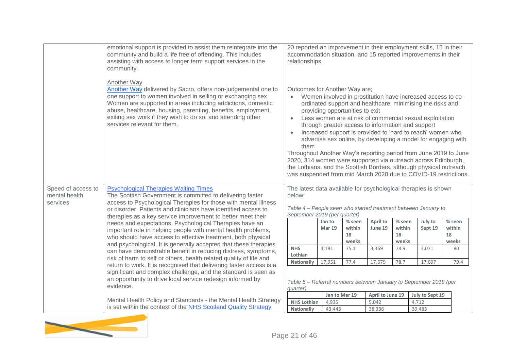|                                                 | emotional support is provided to assist them reintegrate into the<br>community and build a life free of offending. This includes<br>assisting with access to longer term support services in the<br>community.                                                                                                                                                                  | 20 reported an improvement in their employment skills, 15 in their<br>accommodation situation, and 15 reported improvements in their<br>relationships.                                                                                                                                                                           |                         |                                 |                                                   |                                 |                                                                                                                                                                                                                                                                                                                      |                                 |
|-------------------------------------------------|---------------------------------------------------------------------------------------------------------------------------------------------------------------------------------------------------------------------------------------------------------------------------------------------------------------------------------------------------------------------------------|----------------------------------------------------------------------------------------------------------------------------------------------------------------------------------------------------------------------------------------------------------------------------------------------------------------------------------|-------------------------|---------------------------------|---------------------------------------------------|---------------------------------|----------------------------------------------------------------------------------------------------------------------------------------------------------------------------------------------------------------------------------------------------------------------------------------------------------------------|---------------------------------|
|                                                 | <b>Another Way</b><br>Another Way delivered by Sacro, offers non-judgemental one to<br>one support to women involved in selling or exchanging sex.<br>Women are supported in areas including addictions, domestic<br>abuse, healthcare, housing, parenting, benefits, employment,<br>exiting sex work if they wish to do so, and attending other<br>services relevant for them. | Outcomes for Another Way are;<br>$\bullet$<br>them<br>Throughout Another Way's reporting period from June 2019 to June<br>2020, 314 women were supported via outreach across Edinburgh,<br>the Lothians, and the Scottish Borders, although physical outreach<br>was suspended from mid March 2020 due to COVID-19 restrictions. |                         | providing opportunities to exit | through greater access to information and support |                                 | Women involved in prostitution have increased access to co-<br>ordinated support and healthcare, minimising the risks and<br>Less women are at risk of commercial sexual exploitation<br>Increased support is provided to 'hard to reach' women who<br>advertise sex online, by developing a model for engaging with |                                 |
| Speed of access to<br>mental health<br>services | <b>Psychological Therapies Waiting Times</b><br>The Scottish Government is committed to delivering faster<br>access to Psychological Therapies for those with mental illness<br>or disorder. Patients and clinicians have identified access to                                                                                                                                  | The latest data available for psychological therapies is shown<br>below:<br>September 2019 (per quarter)                                                                                                                                                                                                                         |                         |                                 |                                                   |                                 | Table 4 - People seen who started treatment between January to                                                                                                                                                                                                                                                       |                                 |
|                                                 | therapies as a key service improvement to better meet their<br>needs and expectations. Psychological Therapies have an<br>important role in helping people with mental health problems,<br>who should have access to effective treatment, both physical<br>and psychological. It is generally accepted that these therapies                                                     |                                                                                                                                                                                                                                                                                                                                  | Jan to<br><b>Mar 19</b> | % seen<br>within<br>18<br>weeks | April to<br>June 19                               | % seen<br>within<br>18<br>weeks | July to<br>Sept 19                                                                                                                                                                                                                                                                                                   | % seen<br>within<br>18<br>weeks |
|                                                 | can have demonstrable benefit in reducing distress, symptoms,<br>risk of harm to self or others, health related quality of life and                                                                                                                                                                                                                                             | <b>NHS</b><br>Lothian                                                                                                                                                                                                                                                                                                            | 3,181                   | 75.1                            | 3.369                                             | 78.9                            | 3,071                                                                                                                                                                                                                                                                                                                | 80                              |
|                                                 | return to work. It is recognised that delivering faster access is a<br>significant and complex challenge, and the standard is seen as<br>an opportunity to drive local service redesign informed by<br>evidence.                                                                                                                                                                | <b>Nationally</b><br>quarter)                                                                                                                                                                                                                                                                                                    | 17,951                  | 77.4<br>Jan to Mar 19           | 17,679<br>April to June 19                        | 78.7                            | 17,697<br>Table 5 - Referral numbers between January to September 2019 (per<br>July to Sept 19                                                                                                                                                                                                                       | 79.4                            |
|                                                 | Mental Health Policy and Standards - the Mental Health Strategy<br>is set within the context of the NHS Scotland Quality Strategy                                                                                                                                                                                                                                               | <b>NHS Lothian</b>                                                                                                                                                                                                                                                                                                               | 4,935                   |                                 | 5,042                                             |                                 | 4,712                                                                                                                                                                                                                                                                                                                |                                 |
|                                                 |                                                                                                                                                                                                                                                                                                                                                                                 | <b>Nationally</b>                                                                                                                                                                                                                                                                                                                | 43,443                  |                                 | 38,336                                            |                                 | 39,483                                                                                                                                                                                                                                                                                                               |                                 |

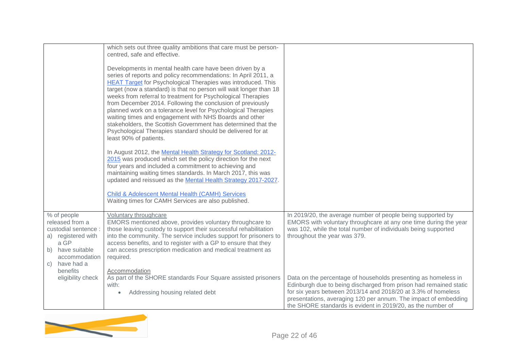|                                                                                                                                                                             | which sets out three quality ambitions that care must be person-<br>centred, safe and effective.<br>Developments in mental health care have been driven by a<br>series of reports and policy recommendations: In April 2011, a<br><b>HEAT Target for Psychological Therapies was introduced. This</b><br>target (now a standard) is that no person will wait longer than 18<br>weeks from referral to treatment for Psychological Therapies<br>from December 2014. Following the conclusion of previously<br>planned work on a tolerance level for Psychological Therapies<br>waiting times and engagement with NHS Boards and other<br>stakeholders, the Scottish Government has determined that the<br>Psychological Therapies standard should be delivered for at<br>least 90% of patients.<br>In August 2012, the Mental Health Strategy for Scotland: 2012-<br>2015 was produced which set the policy direction for the next<br>four years and included a commitment to achieving and<br>maintaining waiting times standards. In March 2017, this was<br>updated and reissued as the Mental Health Strategy 2017-2027.<br><b>Child &amp; Adolescent Mental Health (CAMH) Services</b><br>Waiting times for CAMH Services are also published. |                                                                                                                                                                                                                                                                                                                                                                                                                                                                                                                                                                             |
|-----------------------------------------------------------------------------------------------------------------------------------------------------------------------------|---------------------------------------------------------------------------------------------------------------------------------------------------------------------------------------------------------------------------------------------------------------------------------------------------------------------------------------------------------------------------------------------------------------------------------------------------------------------------------------------------------------------------------------------------------------------------------------------------------------------------------------------------------------------------------------------------------------------------------------------------------------------------------------------------------------------------------------------------------------------------------------------------------------------------------------------------------------------------------------------------------------------------------------------------------------------------------------------------------------------------------------------------------------------------------------------------------------------------------------------------|-----------------------------------------------------------------------------------------------------------------------------------------------------------------------------------------------------------------------------------------------------------------------------------------------------------------------------------------------------------------------------------------------------------------------------------------------------------------------------------------------------------------------------------------------------------------------------|
| % of people<br>released from a<br>custodial sentence :<br>a) registered with<br>a GP<br>b) have suitable<br>accommodation<br>c) have had a<br>benefits<br>eligibility check | Voluntary throughcare<br>EMORS mentioned above, provides voluntary throughcare to<br>those leaving custody to support their successful rehabilitation<br>into the community. The service includes support for prisoners to<br>access benefits, and to register with a GP to ensure that they<br>can access prescription medication and medical treatment as<br>required.<br>Accommodation<br>As part of the SHORE standards Four Square assisted prisoners<br>with:<br>Addressing housing related debt                                                                                                                                                                                                                                                                                                                                                                                                                                                                                                                                                                                                                                                                                                                                            | In 2019/20, the average number of people being supported by<br>EMORS with voluntary throughcare at any one time during the year<br>was 102, while the total number of individuals being supported<br>throughout the year was 379.<br>Data on the percentage of households presenting as homeless in<br>Edinburgh due to being discharged from prison had remained static<br>for six years between 2013/14 and 2018/20 at 3.3% of homeless<br>presentations, averaging 120 per annum. The impact of embedding<br>the SHORE standards is evident in 2019/20, as the number of |

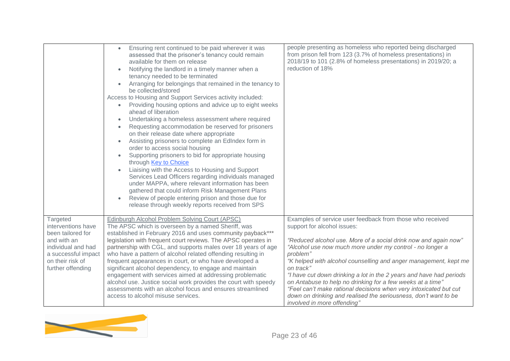|                                                                                                                                                          | Ensuring rent continued to be paid wherever it was<br>$\bullet$<br>assessed that the prisoner's tenancy could remain<br>available for them on release<br>Notifying the landlord in a timely manner when a<br>tenancy needed to be terminated<br>Arranging for belongings that remained in the tenancy to<br>$\bullet$<br>be collected/stored<br>Access to Housing and Support Services activity included:<br>Providing housing options and advice up to eight weeks<br>$\bullet$<br>ahead of liberation<br>Undertaking a homeless assessment where required<br>Requesting accommodation be reserved for prisoners<br>on their release date where appropriate<br>Assisting prisoners to complete an EdIndex form in<br>order to access social housing<br>Supporting prisoners to bid for appropriate housing<br>through Key to Choice<br>Liaising with the Access to Housing and Support<br>Services Lead Officers regarding individuals managed<br>under MAPPA, where relevant information has been<br>gathered that could inform Risk Management Plans<br>Review of people entering prison and those due for<br>release through weekly reports received from SPS | people presenting as homeless who reported being discharged<br>from prison fell from 123 (3.7% of homeless presentations) in<br>2018/19 to 101 (2.8% of homeless presentations) in 2019/20; a<br>reduction of 18%                                                                                                                                                                                                                                                                                                                                                                                                                 |
|----------------------------------------------------------------------------------------------------------------------------------------------------------|-------------------------------------------------------------------------------------------------------------------------------------------------------------------------------------------------------------------------------------------------------------------------------------------------------------------------------------------------------------------------------------------------------------------------------------------------------------------------------------------------------------------------------------------------------------------------------------------------------------------------------------------------------------------------------------------------------------------------------------------------------------------------------------------------------------------------------------------------------------------------------------------------------------------------------------------------------------------------------------------------------------------------------------------------------------------------------------------------------------------------------------------------------------------|-----------------------------------------------------------------------------------------------------------------------------------------------------------------------------------------------------------------------------------------------------------------------------------------------------------------------------------------------------------------------------------------------------------------------------------------------------------------------------------------------------------------------------------------------------------------------------------------------------------------------------------|
| Targeted<br>interventions have<br>been tailored for<br>and with an<br>individual and had<br>a successful impact<br>on their risk of<br>further offending | Edinburgh Alcohol Problem Solving Court (APSC)<br>The APSC which is overseen by a named Sheriff, was<br>established in February 2016 and uses community payback***<br>legislation with frequent court reviews. The APSC operates in<br>partnership with CGL, and supports males over 18 years of age<br>who have a pattern of alcohol related offending resulting in<br>frequent appearances in court, or who have developed a<br>significant alcohol dependency, to engage and maintain<br>engagement with services aimed at addressing problematic<br>alcohol use. Justice social work provides the court with speedy<br>assessments with an alcohol focus and ensures streamlined<br>access to alcohol misuse services.                                                                                                                                                                                                                                                                                                                                                                                                                                        | Examples of service user feedback from those who received<br>support for alcohol issues:<br>"Reduced alcohol use. More of a social drink now and again now"<br>"Alcohol use now much more under my control - no longer a<br>problem"<br>"K helped with alcohol counselling and anger management, kept me<br>on track"<br>"I have cut down drinking a lot in the 2 years and have had periods<br>on Antabuse to help no drinking for a few weeks at a time"<br>"Feel can't make rational decisions when very intoxicated but cut<br>down on drinking and realised the seriousness, don't want to be<br>involved in more offending" |

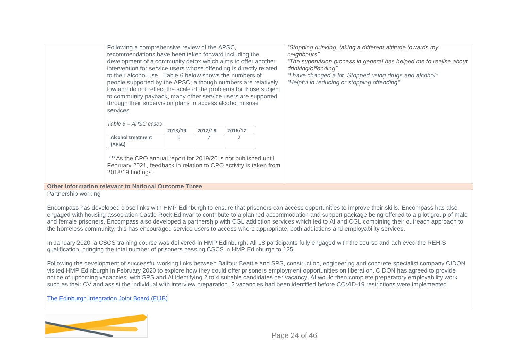|                     | Following a comprehensive review of the APSC,<br>recommendations have been taken forward including the<br>development of a community detox which aims to offer another<br>intervention for service users whose offending is directly related<br>to their alcohol use. Table 6 below shows the numbers of<br>people supported by the APSC; although numbers are relatively<br>low and do not reflect the scale of the problems for those subject<br>to community payback, many other service users are supported<br>through their supervision plans to access alcohol misuse<br>services.<br>Table 6 - APSC cases<br><b>Alcohol treatment</b><br>(APSC)<br>*** As the CPO annual report for 2019/20 is not published until<br>February 2021, feedback in relation to CPO activity is taken from | 2018/19<br>6 | 2017/18 | 2016/17<br>2 | "Stopping drinking, taking a different attitude towards my<br>neighbours"<br>"The supervision process in general has helped me to realise about<br>drinking/offending"<br>"I have changed a lot. Stopped using drugs and alcohol"<br>"Helpful in reducing or stopping offending"                                                                                                                                                                                                                                                                                                                                |
|---------------------|------------------------------------------------------------------------------------------------------------------------------------------------------------------------------------------------------------------------------------------------------------------------------------------------------------------------------------------------------------------------------------------------------------------------------------------------------------------------------------------------------------------------------------------------------------------------------------------------------------------------------------------------------------------------------------------------------------------------------------------------------------------------------------------------|--------------|---------|--------------|-----------------------------------------------------------------------------------------------------------------------------------------------------------------------------------------------------------------------------------------------------------------------------------------------------------------------------------------------------------------------------------------------------------------------------------------------------------------------------------------------------------------------------------------------------------------------------------------------------------------|
|                     | 2018/19 findings.<br><b>Other information relevant to National Outcome Three</b>                                                                                                                                                                                                                                                                                                                                                                                                                                                                                                                                                                                                                                                                                                               |              |         |              |                                                                                                                                                                                                                                                                                                                                                                                                                                                                                                                                                                                                                 |
| Partnership working |                                                                                                                                                                                                                                                                                                                                                                                                                                                                                                                                                                                                                                                                                                                                                                                                |              |         |              |                                                                                                                                                                                                                                                                                                                                                                                                                                                                                                                                                                                                                 |
|                     |                                                                                                                                                                                                                                                                                                                                                                                                                                                                                                                                                                                                                                                                                                                                                                                                |              |         |              |                                                                                                                                                                                                                                                                                                                                                                                                                                                                                                                                                                                                                 |
|                     |                                                                                                                                                                                                                                                                                                                                                                                                                                                                                                                                                                                                                                                                                                                                                                                                |              |         |              | Encompass has developed close links with HMP Edinburgh to ensure that prisoners can access opportunities to improve their skills. Encompass has also<br>engaged with housing association Castle Rock Edinvar to contribute to a planned accommodation and support package being offered to a pilot group of male<br>and female prisoners. Encompass also developed a partnership with CGL addiction services which led to AI and CGL combining their outreach approach to<br>the homeless community; this has encouraged service users to access where appropriate, both addictions and employability services. |

In January 2020, a CSCS training course was delivered in HMP Edinburgh. All 18 participants fully engaged with the course and achieved the REHIS qualification, bringing the total number of prisoners passing CSCS in HMP Edinburgh to 125.

Following the development of successful working links between Balfour Beattie and SPS, construction, engineering and concrete specialist company CIDON visited HMP Edinburgh in February 2020 to explore how they could offer prisoners employment opportunities on liberation. CIDON has agreed to provide notice of upcoming vacancies, with SPS and AI identifying 2 to 4 suitable candidates per vacancy. AI would then complete preparatory employability work such as their CV and assist the individual with interview preparation. 2 vacancies had been identified before COVID-19 restrictions were implemented.

[The Edinburgh Integration Joint Board \(EIJB\)](https://www.edinburghhsc.scot/the-ijb/)

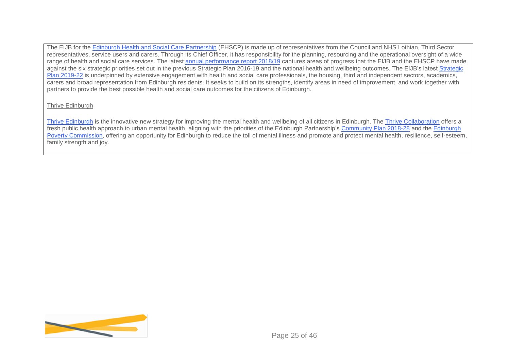The EIJB for the [Edinburgh Health and Social Care Partnership](https://www.edinburghhsc.scot/) (EHSCP) is made up of representatives from the Council and NHS Lothian, Third Sector representatives, service users and carers. Through its Chief Officer, it has responsibility for the planning, resourcing and the operational oversight of a wide range of health and social care services. The latest [annual performance report 2018/19](http://www.edinburghhsc.scot/wp-content/uploads/2019/11/EIJB-Annual-Performance-Report-18-19-1.pdf) captures areas of progress that the EIJB and the EHSCP have made against the six strategic priorities set out in the previous Strategic Plan 2016-19 and the national health and wellbeing outcomes. The EIJB's latest [Strategic](http://www.edinburghhsc.scot/wp-content/uploads/2020/01/Strategic-Plan-2019-2022-1.pdf)  [Plan 2019-22](http://www.edinburghhsc.scot/wp-content/uploads/2020/01/Strategic-Plan-2019-2022-1.pdf) is underpinned by extensive engagement with health and social care professionals, the housing, third and independent sectors, academics, carers and broad representation from Edinburgh residents. It seeks to build on its strengths, identify areas in need of improvement, and work together with partners to provide the best possible health and social care outcomes for the citizens of Edinburgh.

#### Thrive Edinburgh

[Thrive Edinburgh](https://www.edinburghthrive.com/) is the innovative new strategy for improving the mental health and wellbeing of all citizens in Edinburgh. The [Thrive Collaboration](https://www.edinburghthrive.com/about-us) offers a fresh public health approach to urban mental health, aligning with the priorities of the Edinburgh Partnership's [Community Plan 2018-28](https://www.edinburgh.gov.uk/downloads/file/23664/community-plan-2018-28) and the [Edinburgh](https://edinburghpovertycommission.org.uk/)  [Poverty Commission,](https://edinburghpovertycommission.org.uk/) offering an opportunity for Edinburgh to reduce the toll of mental illness and promote and protect mental health, resilience, self-esteem, family strength and joy.

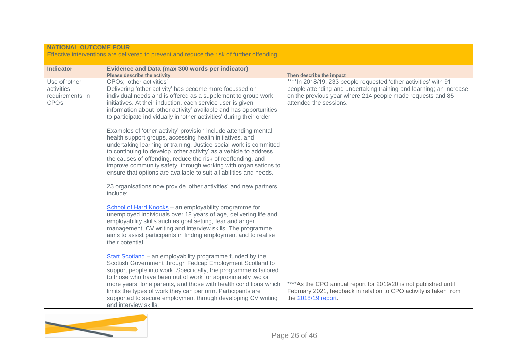| <b>NATIONAL OUTCOME FOUR</b>                             |                                                                                                                                                                                                                                                                                                                                                                                                                                                                                        |                                                                                                                                                              |
|----------------------------------------------------------|----------------------------------------------------------------------------------------------------------------------------------------------------------------------------------------------------------------------------------------------------------------------------------------------------------------------------------------------------------------------------------------------------------------------------------------------------------------------------------------|--------------------------------------------------------------------------------------------------------------------------------------------------------------|
|                                                          | Effective interventions are delivered to prevent and reduce the risk of further offending                                                                                                                                                                                                                                                                                                                                                                                              |                                                                                                                                                              |
| <b>Indicator</b>                                         | <b>Evidence and Data (max 300 words per indicator)</b>                                                                                                                                                                                                                                                                                                                                                                                                                                 |                                                                                                                                                              |
|                                                          | <b>Please describe the activity</b>                                                                                                                                                                                                                                                                                                                                                                                                                                                    | Then describe the impact                                                                                                                                     |
| Use of 'other                                            | CPOs; 'other activities'                                                                                                                                                                                                                                                                                                                                                                                                                                                               | **** In 2018/19, 233 people requested 'other activities' with 91                                                                                             |
| activities<br>requirements' in<br><b>CPO<sub>s</sub></b> | Delivering 'other activity' has become more focussed on<br>individual needs and is offered as a supplement to group work<br>initiatives. At their induction, each service user is given<br>information about 'other activity' available and has opportunities<br>to participate individually in 'other activities' during their order.                                                                                                                                                 | people attending and undertaking training and learning; an increase<br>on the previous year where 214 people made requests and 85<br>attended the sessions.  |
|                                                          | Examples of 'other activity' provision include attending mental<br>health support groups, accessing health initiatives, and<br>undertaking learning or training. Justice social work is committed<br>to continuing to develop 'other activity' as a vehicle to address<br>the causes of offending, reduce the risk of reoffending, and<br>improve community safety, through working with organisations to<br>ensure that options are available to suit all abilities and needs.        |                                                                                                                                                              |
|                                                          | 23 organisations now provide 'other activities' and new partners<br>include:                                                                                                                                                                                                                                                                                                                                                                                                           |                                                                                                                                                              |
|                                                          | School of Hard Knocks - an employability programme for<br>unemployed individuals over 18 years of age, delivering life and<br>employability skills such as goal setting, fear and anger<br>management, CV writing and interview skills. The programme<br>aims to assist participants in finding employment and to realise<br>their potential.                                                                                                                                          |                                                                                                                                                              |
|                                                          | Start Scotland - an employability programme funded by the<br>Scottish Government through Fedcap Employment Scotland to<br>support people into work. Specifically, the programme is tailored<br>to those who have been out of work for approximately two or<br>more years, lone parents, and those with health conditions which<br>limits the types of work they can perform. Participants are<br>supported to secure employment through developing CV writing<br>and interview skills. | **** As the CPO annual report for 2019/20 is not published until<br>February 2021, feedback in relation to CPO activity is taken from<br>the 2018/19 report. |

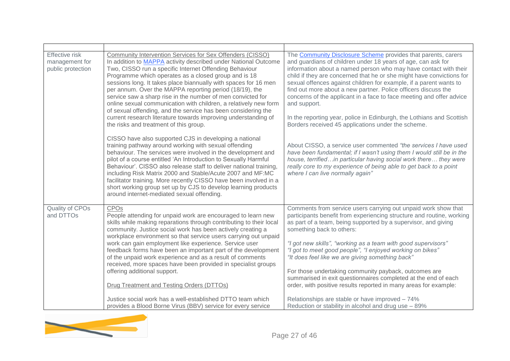| <b>Effective risk</b><br>management for<br>public protection | Community Intervention Services for Sex Offenders (CISSO)<br>In addition to <b>MAPPA</b> activity described under National Outcome<br>Two, CISSO run a specific Internet Offending Behaviour<br>Programme which operates as a closed group and is 18<br>sessions long. It takes place biannually with spaces for 16 men<br>per annum. Over the MAPPA reporting period (18/19), the<br>service saw a sharp rise in the number of men convicted for<br>online sexual communication with children, a relatively new form<br>of sexual offending, and the service has been considering the<br>current research literature towards improving understanding of<br>the risks and treatment of this group.                                                       | The Community Disclosure Scheme provides that parents, carers<br>and guardians of children under 18 years of age, can ask for<br>information about a named person who may have contact with their<br>child if they are concerned that he or she might have convictions for<br>sexual offences against children for example, if a parent wants to<br>find out more about a new partner. Police officers discuss the<br>concerns of the applicant in a face to face meeting and offer advice<br>and support.<br>In the reporting year, police in Edinburgh, the Lothians and Scottish<br>Borders received 45 applications under the scheme.                                                                                          |
|--------------------------------------------------------------|----------------------------------------------------------------------------------------------------------------------------------------------------------------------------------------------------------------------------------------------------------------------------------------------------------------------------------------------------------------------------------------------------------------------------------------------------------------------------------------------------------------------------------------------------------------------------------------------------------------------------------------------------------------------------------------------------------------------------------------------------------|------------------------------------------------------------------------------------------------------------------------------------------------------------------------------------------------------------------------------------------------------------------------------------------------------------------------------------------------------------------------------------------------------------------------------------------------------------------------------------------------------------------------------------------------------------------------------------------------------------------------------------------------------------------------------------------------------------------------------------|
|                                                              | CISSO have also supported CJS in developing a national<br>training pathway around working with sexual offending<br>behaviour. The services were involved in the development and<br>pilot of a course entitled 'An Introduction to Sexually Harmful<br>Behaviour'. CISSO also release staff to deliver national training,<br>including Risk Matrix 2000 and Stable/Acute 2007 and MF:MC<br>facilitator training. More recently CISSO have been involved in a<br>short working group set up by CJS to develop learning products<br>around internet-mediated sexual offending.                                                                                                                                                                              | About CISSO, a service user commented "the services I have used<br>have been fundamental; if I wasn't using them I would still be in the<br>house, terrifiedin particular having social work there they were<br>really core to my experience of being able to get back to a point<br>where I can live normally again"                                                                                                                                                                                                                                                                                                                                                                                                              |
| Quality of CPOs<br>and DTTOs                                 | CPOs<br>People attending for unpaid work are encouraged to learn new<br>skills while making reparations through contributing to their local<br>community. Justice social work has been actively creating a<br>workplace environment so that service users carrying out unpaid<br>work can gain employment like experience. Service user<br>feedback forms have been an important part of the development<br>of the unpaid work experience and as a result of comments<br>received, more spaces have been provided in specialist groups<br>offering additional support.<br><b>Drug Treatment and Testing Orders (DTTOs)</b><br>Justice social work has a well-established DTTO team which<br>provides a Blood Borne Virus (BBV) service for every service | Comments from service users carrying out unpaid work show that<br>participants benefit from experiencing structure and routine, working<br>as part of a team, being supported by a supervisor, and giving<br>something back to others:<br>"I got new skills", "working as a team with good supervisors"<br>"I got to meet good people", "I enjoyed working on bikes"<br>"It does feel like we are giving something back"<br>For those undertaking community payback, outcomes are<br>summarised in exit questionnaires completed at the end of each<br>order, with positive results reported in many areas for example:<br>Relationships are stable or have improved - 74%<br>Reduction or stability in alcohol and drug use - 89% |
|                                                              |                                                                                                                                                                                                                                                                                                                                                                                                                                                                                                                                                                                                                                                                                                                                                          |                                                                                                                                                                                                                                                                                                                                                                                                                                                                                                                                                                                                                                                                                                                                    |

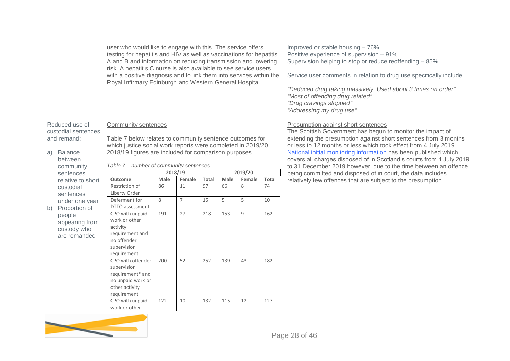|    |                                                                                                | user who would like to engage with this. The service offers<br>testing for hepatitis and HIV as well as vaccinations for hepatitis<br>A and B and information on reducing transmission and lowering<br>risk. A hepatitis C nurse is also available to see service users |            |                |                    |            |             |             | Improved or stable housing - 76%<br>Positive experience of supervision - 91%<br>Supervision helping to stop or reduce reoffending - 85%                                                                                                                                                                                                                                                                                                                 |
|----|------------------------------------------------------------------------------------------------|-------------------------------------------------------------------------------------------------------------------------------------------------------------------------------------------------------------------------------------------------------------------------|------------|----------------|--------------------|------------|-------------|-------------|---------------------------------------------------------------------------------------------------------------------------------------------------------------------------------------------------------------------------------------------------------------------------------------------------------------------------------------------------------------------------------------------------------------------------------------------------------|
|    |                                                                                                | with a positive diagnosis and to link them into services within the<br>Royal Infirmary Edinburgh and Western General Hospital.                                                                                                                                          |            |                |                    |            |             |             | Service user comments in relation to drug use specifically include:<br>"Reduced drug taking massively. Used about 3 times on order"<br>"Most of offending drug related"<br>"Drug cravings stopped"<br>"Addressing my drug use"                                                                                                                                                                                                                          |
| a) | Reduced use of<br>custodial sentences<br>and remand:<br><b>Balance</b><br>between<br>community | Community sentences<br>Table 7 below relates to community sentence outcomes for<br>which justice social work reports were completed in 2019/20.<br>2018/19 figures are included for comparison purposes.<br>Table 7 - number of community sentences                     |            |                |                    |            |             |             | Presumption against short sentences<br>The Scottish Government has begun to monitor the impact of<br>extending the presumption against short sentences from 3 months<br>or less to 12 months or less which took effect from 4 July 2019.<br>National initial monitoring information has been published which<br>covers all charges disposed of in Scotland's courts from 1 July 2019<br>to 31 December 2019 however, due to the time between an offence |
|    | sentences                                                                                      | 2018/19                                                                                                                                                                                                                                                                 |            |                |                    |            | 2019/20     |             | being committed and disposed of in court, the data includes                                                                                                                                                                                                                                                                                                                                                                                             |
|    | relative to short<br>custodial                                                                 | <b>Outcome</b><br>Restriction of                                                                                                                                                                                                                                        | Male<br>86 | Female<br>11   | <b>Total</b><br>97 | Male<br>66 | Female<br>8 | Total<br>74 | relatively few offences that are subject to the presumption.                                                                                                                                                                                                                                                                                                                                                                                            |
|    | sentences<br>under one year                                                                    | Liberty Order<br>Deferment for<br>DTTO assessment                                                                                                                                                                                                                       | 8          | $\overline{7}$ | 15                 | 5          | 5           | 10          |                                                                                                                                                                                                                                                                                                                                                                                                                                                         |
|    | Proportion of<br>b)<br>people<br>appearing from<br>custody who<br>are remanded                 | CPO with unpaid<br>work or other<br>activity<br>requirement and<br>no offender<br>supervision<br>requirement                                                                                                                                                            | 191        | 27             | 218                | 153        | 9           | 162         |                                                                                                                                                                                                                                                                                                                                                                                                                                                         |
|    |                                                                                                | CPO with offender<br>supervision<br>requirement* and<br>no unpaid work or<br>other activity<br>requirement                                                                                                                                                              | 200        | 52             | 252                | 139        | 43          | 182         |                                                                                                                                                                                                                                                                                                                                                                                                                                                         |
|    |                                                                                                | CPO with unpaid<br>work or other                                                                                                                                                                                                                                        | 122        | 10             | 132                | 115        | 12          | 127         |                                                                                                                                                                                                                                                                                                                                                                                                                                                         |

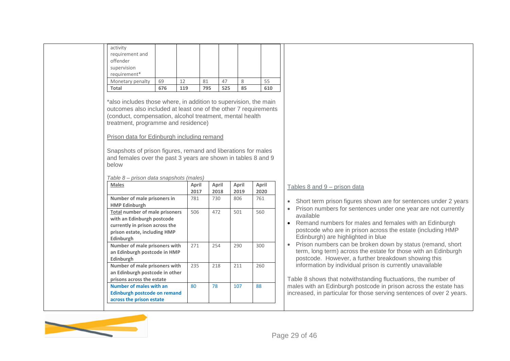| activity<br>requirement and                                                                                                                                                                                                                                                                                                                                                                                            |       |       |     |       |       |  |
|------------------------------------------------------------------------------------------------------------------------------------------------------------------------------------------------------------------------------------------------------------------------------------------------------------------------------------------------------------------------------------------------------------------------|-------|-------|-----|-------|-------|--|
| offender                                                                                                                                                                                                                                                                                                                                                                                                               |       |       |     |       |       |  |
| supervision                                                                                                                                                                                                                                                                                                                                                                                                            |       |       |     |       |       |  |
| requirement*                                                                                                                                                                                                                                                                                                                                                                                                           |       |       |     |       |       |  |
| Monetary penalty<br>69                                                                                                                                                                                                                                                                                                                                                                                                 | 12    | 81    | 47  | 8     | 55    |  |
| 676<br>Total                                                                                                                                                                                                                                                                                                                                                                                                           | 119   | 795   | 525 | 85    | 610   |  |
| *also includes those where, in addition to supervision, the main<br>outcomes also included at least one of the other 7 requirements<br>(conduct, compensation, alcohol treatment, mental health<br>treatment, programme and residence)<br>Prison data for Edinburgh including remand<br>Snapshots of prison figures, remand and liberations for males<br>and females over the past 3 years are shown in tables 8 and 9 |       |       |     |       |       |  |
| below                                                                                                                                                                                                                                                                                                                                                                                                                  |       |       |     |       |       |  |
|                                                                                                                                                                                                                                                                                                                                                                                                                        |       |       |     |       |       |  |
| Table 8 – prison data snapshots (males)<br>Males                                                                                                                                                                                                                                                                                                                                                                       | April | April |     | April | April |  |
|                                                                                                                                                                                                                                                                                                                                                                                                                        | 2017  | 2018  |     | 2019  | 2020  |  |
| Number of male prisoners in<br><b>HMP Edinburgh</b>                                                                                                                                                                                                                                                                                                                                                                    | 781   | 730   |     | 806   | 761   |  |
| <b>Total number of male prisoners</b><br>with an Edinburgh postcode<br>currently in prison across the<br>prison estate, including HMP                                                                                                                                                                                                                                                                                  | 506   | 472   |     | 501   | 560   |  |
| Edinburgh<br>Number of male prisoners with<br>an Edinburgh postcode in HMP<br>Edinburgh                                                                                                                                                                                                                                                                                                                                | 271   | 254   |     | 290   | 300   |  |
| Number of male prisoners with<br>an Edinburgh postcode in other<br>prisons across the estate                                                                                                                                                                                                                                                                                                                           | 235   | 218   |     | 211   | 260   |  |

#### $9$  =  $8$  and  $9$  – prison data

- hort term prison figures shown are for sentences under 2 years
- ison numbers for sentences under one year are not currently ailable
- emand numbers for males and females with an Edinburgh ostcode who are in prison across the estate (including HMP dinburgh) are highlighted in blue
- ison numbers can be broken down by status (remand, short rm, long term) across the estate for those with an Edinburgh postcode.However, a further breakdown showing this formation by individual prison is currently unavailable

8 shows that notwithstanding fluctuations, the number of with an Edinburgh postcode in prison across the estate has ased, in particular for those serving sentences of over 2 years.

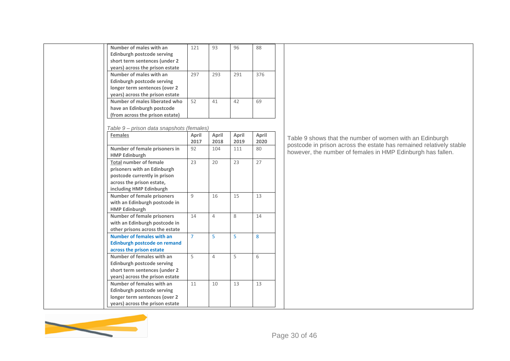| Number of males with an                   | 121            | 93             | 96      | 88    |                                                                     |
|-------------------------------------------|----------------|----------------|---------|-------|---------------------------------------------------------------------|
| <b>Edinburgh postcode serving</b>         |                |                |         |       |                                                                     |
| short term sentences (under 2             |                |                |         |       |                                                                     |
| years) across the prison estate           |                |                |         |       |                                                                     |
| Number of males with an                   | 297            | 293            | 291     | 376   |                                                                     |
| Edinburgh postcode serving                |                |                |         |       |                                                                     |
| longer term sentences (over 2             |                |                |         |       |                                                                     |
| years) across the prison estate           |                |                |         |       |                                                                     |
| Number of males liberated who             | 52             | 41             | 42      | 69    |                                                                     |
| have an Edinburgh postcode                |                |                |         |       |                                                                     |
| (from across the prison estate)           |                |                |         |       |                                                                     |
|                                           |                |                |         |       |                                                                     |
| Table 9 - prison data snapshots (females) |                |                |         |       |                                                                     |
| <b>Females</b>                            | April          | April          | April   | April | Table 9 shows that the number of women with an Edinburgh            |
|                                           | 2017           | 2018           | 2019    | 2020  |                                                                     |
| Number of female prisoners in             | 92             | 104            | 111     | 80    | postcode in prison across the estate has remained relatively stable |
| <b>HMP Edinburgh</b>                      |                |                |         |       | however, the number of females in HMP Edinburgh has fallen.         |
| <b>Total number of female</b>             | 23             | 20             | 23      | 27    |                                                                     |
| prisoners with an Edinburgh               |                |                |         |       |                                                                     |
| postcode currently in prison              |                |                |         |       |                                                                     |
| across the prison estate,                 |                |                |         |       |                                                                     |
| including HMP Edinburgh                   |                |                |         |       |                                                                     |
| Number of female prisoners                | $\overline{9}$ | 16             | 15      | 13    |                                                                     |
| with an Edinburgh postcode in             |                |                |         |       |                                                                     |
| <b>HMP Edinburgh</b>                      |                |                |         |       |                                                                     |
| <b>Number of female prisoners</b>         | 14             | $\overline{4}$ | $\,8\,$ | 14    |                                                                     |
| with an Edinburgh postcode in             |                |                |         |       |                                                                     |
| other prisons across the estate           |                |                |         |       |                                                                     |
| <b>Number of females with an</b>          | $\overline{7}$ | 5              | 5       | 8     |                                                                     |
| <b>Edinburgh postcode on remand</b>       |                |                |         |       |                                                                     |
| across the prison estate                  |                |                |         |       |                                                                     |
| Number of females with an                 | 5              | $\overline{4}$ | 5       | 6     |                                                                     |
| Edinburgh postcode serving                |                |                |         |       |                                                                     |
| short term sentences (under 2             |                |                |         |       |                                                                     |
| years) across the prison estate           |                |                |         |       |                                                                     |
| Number of females with an                 | 11             | 10             | 13      | 13    |                                                                     |
| <b>Edinburgh postcode serving</b>         |                |                |         |       |                                                                     |
| longer term sentences (over 2             |                |                |         |       |                                                                     |
| years) across the prison estate           |                |                |         |       |                                                                     |
|                                           |                |                |         |       |                                                                     |

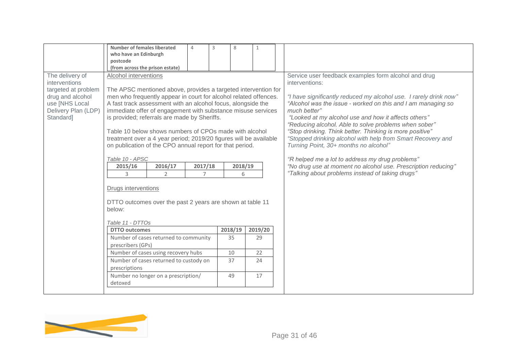|                                                                                                                                   | Number of females liberated<br>who have an Edinburgh<br>postcode<br>(from across the prison estate)                                                                                                                                                                                                                                                                                                                                                                                                                                                                                                                                                                                                                                                                                                                                                   | $\overline{4}$            | 3 | 8                                   | $\mathbf{1}$        |                                                                                                                                                                                                                                                                                                                                                                                                                                                                                                                                                                                                                                                                                          |
|-----------------------------------------------------------------------------------------------------------------------------------|-------------------------------------------------------------------------------------------------------------------------------------------------------------------------------------------------------------------------------------------------------------------------------------------------------------------------------------------------------------------------------------------------------------------------------------------------------------------------------------------------------------------------------------------------------------------------------------------------------------------------------------------------------------------------------------------------------------------------------------------------------------------------------------------------------------------------------------------------------|---------------------------|---|-------------------------------------|---------------------|------------------------------------------------------------------------------------------------------------------------------------------------------------------------------------------------------------------------------------------------------------------------------------------------------------------------------------------------------------------------------------------------------------------------------------------------------------------------------------------------------------------------------------------------------------------------------------------------------------------------------------------------------------------------------------------|
| The delivery of<br>interventions<br>targeted at problem<br>drug and alcohol<br>use [NHS Local<br>Delivery Plan (LDP)<br>Standard] | Alcohol interventions<br>The APSC mentioned above, provides a targeted intervention for<br>men who frequently appear in court for alcohol related offences.<br>A fast track assessment with an alcohol focus, alongside the<br>immediate offer of engagement with substance misuse services<br>is provided; referrals are made by Sheriffs.<br>Table 10 below shows numbers of CPOs made with alcohol<br>treatment over a 4 year period; 2019/20 figures will be available<br>on publication of the CPO annual report for that period.<br>Table 10 - APSC<br>2015/16<br>2016/17<br>$\overline{2}$<br>3<br>Drugs interventions<br>DTTO outcomes over the past 2 years are shown at table 11<br>below:<br>Table 11 - DTTOs<br><b>DTTO outcomes</b><br>Number of cases returned to community<br>prescribers (GPs)<br>Number of cases using recovery hubs | 2017/18<br>$\overline{7}$ |   | 2018/19<br>6<br>2018/19<br>35<br>10 | 2019/20<br>29<br>22 | Service user feedback examples form alcohol and drug<br>interventions:<br>"I have significantly reduced my alcohol use. I rarely drink now"<br>"Alcohol was the issue - worked on this and I am managing so<br>much better"<br>"Looked at my alcohol use and how it affects others"<br>"Reducing alcohol. Able to solve problems when sober"<br>"Stop drinking. Think better. Thinking is more positive"<br>"Stopped drinking alcohol with help from Smart Recovery and<br>Turning Point, 30+ months no alcohol"<br>"R helped me a lot to address my drug problems"<br>"No drug use at moment no alcohol use. Prescription reducing"<br>"Talking about problems instead of taking drugs" |
|                                                                                                                                   | Number of cases returned to custody on<br>prescriptions<br>Number no longer on a prescription/<br>detoxed                                                                                                                                                                                                                                                                                                                                                                                                                                                                                                                                                                                                                                                                                                                                             |                           |   | 37<br>49                            | 24<br>17            |                                                                                                                                                                                                                                                                                                                                                                                                                                                                                                                                                                                                                                                                                          |

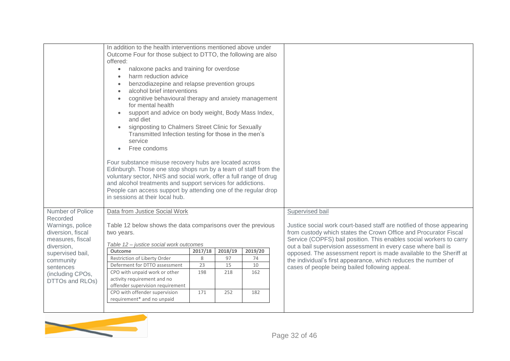|                                                                                                                                                                          | In addition to the health interventions mentioned above under<br>Outcome Four for those subject to DTTO, the following are also<br>offered:<br>naloxone packs and training for overdose<br>$\bullet$<br>harm reduction advice<br>benzodiazepine and relapse prevention groups<br>alcohol brief interventions<br>$\bullet$<br>cognitive behavioural therapy and anxiety management<br>$\bullet$<br>for mental health<br>support and advice on body weight, Body Mass Index,<br>$\bullet$<br>and diet<br>signposting to Chalmers Street Clinic for Sexually<br>Transmitted Infection testing for those in the men's<br>service<br>Free condoms<br>$\bullet$<br>Four substance misuse recovery hubs are located across<br>Edinburgh. Those one stop shops run by a team of staff from the<br>voluntary sector, NHS and social work, offer a full range of drug<br>and alcohol treatments and support services for addictions.<br>People can access support by attending one of the regular drop<br>in sessions at their local hub. |                                  |                                   |                                   |                                                                                                                                                                                                                                                                                                                                                                                                                                                                             |
|--------------------------------------------------------------------------------------------------------------------------------------------------------------------------|---------------------------------------------------------------------------------------------------------------------------------------------------------------------------------------------------------------------------------------------------------------------------------------------------------------------------------------------------------------------------------------------------------------------------------------------------------------------------------------------------------------------------------------------------------------------------------------------------------------------------------------------------------------------------------------------------------------------------------------------------------------------------------------------------------------------------------------------------------------------------------------------------------------------------------------------------------------------------------------------------------------------------------|----------------------------------|-----------------------------------|-----------------------------------|-----------------------------------------------------------------------------------------------------------------------------------------------------------------------------------------------------------------------------------------------------------------------------------------------------------------------------------------------------------------------------------------------------------------------------------------------------------------------------|
| Number of Police                                                                                                                                                         | Data from Justice Social Work                                                                                                                                                                                                                                                                                                                                                                                                                                                                                                                                                                                                                                                                                                                                                                                                                                                                                                                                                                                                   |                                  |                                   |                                   | Supervised bail                                                                                                                                                                                                                                                                                                                                                                                                                                                             |
| Recorded<br>Warnings, police<br>diversion, fiscal<br>measures, fiscal<br>diversion,<br>supervised bail,<br>community<br>sentences<br>(including CPOs,<br>DTTOs and RLOs) | Table 12 below shows the data comparisons over the previous<br>two years.<br>Table 12 - justice social work outcomes<br>Outcome<br>Restriction of Liberty Order<br>Deferment for DTTO assessment<br>CPO with unpaid work or other<br>activity requirement and no<br>offender supervision requirement<br>CPO with offender supervision<br>requirement* and no unpaid                                                                                                                                                                                                                                                                                                                                                                                                                                                                                                                                                                                                                                                             | 2017/18<br>8<br>23<br>198<br>171 | 2018/19<br>97<br>15<br>218<br>252 | 2019/20<br>74<br>10<br>162<br>182 | Justice social work court-based staff are notified of those appearing<br>from custody which states the Crown Office and Procurator Fiscal<br>Service (COPFS) bail position. This enables social workers to carry<br>out a bail supervision assessment in every case where bail is<br>opposed. The assessment report is made available to the Sheriff at<br>the individual's first appearance, which reduces the number of<br>cases of people being bailed following appeal. |

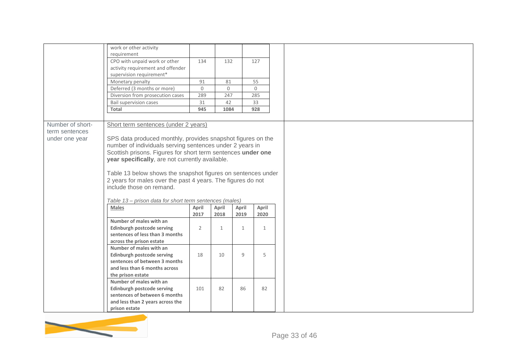|                  | work or other activity<br>requirement                                                                           |                |              |              |              |  |
|------------------|-----------------------------------------------------------------------------------------------------------------|----------------|--------------|--------------|--------------|--|
|                  | CPO with unpaid work or other                                                                                   | 134            | 132          |              | 127          |  |
|                  | activity requirement and offender                                                                               |                |              |              |              |  |
|                  | supervision requirement*<br>Monetary penalty                                                                    | 91             | 81           |              | 55           |  |
|                  | Deferred (3 months or more)                                                                                     | $\mathbf 0$    | $\mathsf{O}$ |              | $\mathbf 0$  |  |
|                  | Diversion from prosecution cases                                                                                | 289            | 247          |              | 285          |  |
|                  | <b>Bail supervision cases</b>                                                                                   | 31             | 42           |              | 33           |  |
|                  | Total                                                                                                           | 945            | 1084         |              | 928          |  |
|                  |                                                                                                                 |                |              |              |              |  |
| Number of short- | Short term sentences (under 2 years)                                                                            |                |              |              |              |  |
| term sentences   |                                                                                                                 |                |              |              |              |  |
| under one year   | SPS data produced monthly, provides snapshot figures on the                                                     |                |              |              |              |  |
|                  | number of individuals serving sentences under 2 years in                                                        |                |              |              |              |  |
|                  | Scottish prisons. Figures for short term sentences under one<br>year specifically, are not currently available. |                |              |              |              |  |
|                  |                                                                                                                 |                |              |              |              |  |
|                  | Table 13 below shows the snapshot figures on sentences under                                                    |                |              |              |              |  |
|                  | 2 years for males over the past 4 years. The figures do not                                                     |                |              |              |              |  |
|                  | include those on remand.                                                                                        |                |              |              |              |  |
|                  |                                                                                                                 |                |              |              |              |  |
|                  | Table 13 - prison data for short term sentences (males)                                                         |                |              |              |              |  |
|                  | <b>Males</b>                                                                                                    | April          | April        | April        | April        |  |
|                  | Number of males with an                                                                                         | 2017           | 2018         | 2019         | 2020         |  |
|                  | <b>Edinburgh postcode serving</b>                                                                               | $\overline{2}$ | $\mathbf{1}$ | $\mathbf{1}$ | $\mathbf{1}$ |  |
|                  | sentences of less than 3 months                                                                                 |                |              |              |              |  |
|                  | across the prison estate                                                                                        |                |              |              |              |  |
|                  | Number of males with an                                                                                         |                |              |              |              |  |
|                  | Edinburgh postcode serving                                                                                      | 18             | 10           | 9            | 5            |  |
|                  | sentences of between 3 months                                                                                   |                |              |              |              |  |
|                  | and less than 6 months across                                                                                   |                |              |              |              |  |
|                  | the prison estate                                                                                               |                |              |              |              |  |
|                  | Number of males with an                                                                                         |                |              |              |              |  |
|                  | <b>Edinburgh postcode serving</b><br>sentences of between 6 months                                              | 101            | 82           | 86           | 82           |  |
|                  | and less than 2 years across the                                                                                |                |              |              |              |  |
|                  | prison estate                                                                                                   |                |              |              |              |  |
|                  |                                                                                                                 |                |              |              |              |  |

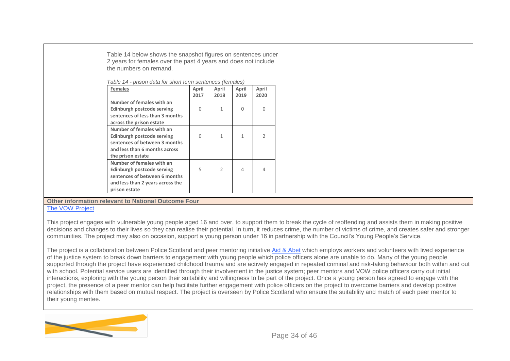| Table 14 below shows the snapshot figures on sentences under<br>2 years for females over the past 4 years and does not include<br>the numbers on remand.<br>Table 14 - prison data for short term sentences (females) |               |               |               |                |  |
|-----------------------------------------------------------------------------------------------------------------------------------------------------------------------------------------------------------------------|---------------|---------------|---------------|----------------|--|
| <b>Females</b>                                                                                                                                                                                                        | April<br>2017 | April<br>2018 | April<br>2019 | April<br>2020  |  |
| Number of females with an<br>Edinburgh postcode serving<br>sentences of less than 3 months<br>across the prison estate                                                                                                | $\Omega$      |               | $\Omega$      | $\Omega$       |  |
| Number of females with an<br>Edinburgh postcode serving<br>sentences of between 3 months<br>and less than 6 months across<br>the prison estate                                                                        | $\Omega$      | $\mathbf{1}$  | $\mathbf{1}$  | $\overline{2}$ |  |
| Number of females with an<br>Edinburgh postcode serving<br>sentences of between 6 months<br>and less than 2 years across the<br>prison estate                                                                         | 5             | $\mathcal{P}$ | 4             | 4              |  |
| Other information relevant to National Outcome Four                                                                                                                                                                   |               |               |               |                |  |

[The VOW Project](https://leph2019edinburgh.com/wp-content/uploads/2019/11/5.orourke-and-buchan-leph-conference-slides.pdf)

This project engages with vulnerable young people aged 16 and over, to support them to break the cycle of reoffending and assists them in making positive decisions and changes to their lives so they can realise their potential. In turn, it reduces crime, the number of victims of crime, and creates safer and stronger communities. The project may also on occasion, support a young person under 16 in partnership with the Council's Young People's Service.

The project is a collaboration between Police Scotland and peer mentoring initiative [Aid &](https://www.aidnabet.org/) Abet which employs workers and volunteers with lived experience of the justice system to break down barriers to engagement with young people which police officers alone are unable to do. Many of the young people supported through the project have experienced childhood trauma and are actively engaged in repeated criminal and risk-taking behaviour both within and out with school. Potential service users are identified through their involvement in the justice system; peer mentors and VOW police officers carry out initial interactions, exploring with the young person their suitability and willingness to be part of the project. Once a young person has agreed to engage with the project, the presence of a peer mentor can help facilitate further engagement with police officers on the project to overcome barriers and develop positive relationships with them based on mutual respect. The project is overseen by Police Scotland who ensure the suitability and match of each peer mentor to their young mentee.

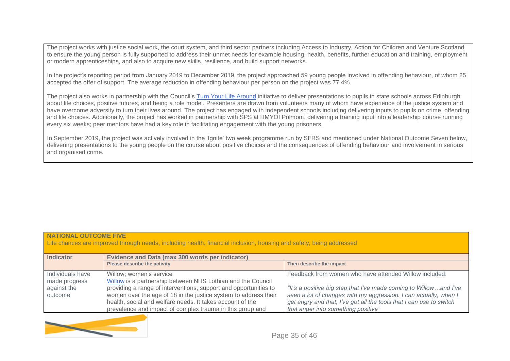The project works with justice social work, the court system, and third sector partners including Access to Industry, Action for Children and Venture Scotland to ensure the young person is fully supported to address their unmet needs for example housing, health, benefits, further education and training, employment or modern apprenticeships, and also to acquire new skills, resilience, and build support networks.

In the project's reporting period from January 2019 to December 2019, the project approached 59 young people involved in offending behaviour, of whom 25 accepted the offer of support. The average reduction in offending behaviour per person on the project was 77.4%.

The project also works in partnership with the Council's [Turn Your Life Around](https://twitter.com/tylaedinburgh?lang=en) initiative to deliver presentations to pupils in state schools across Edinburgh about life choices, positive futures, and being a role model. Presenters are drawn from volunteers many of whom have experience of the justice system and have overcome adversity to turn their lives around. The project has engaged with independent schools including delivering inputs to pupils on crime, offending and life choices. Additionally, the project has worked in partnership with SPS at HMYOI Polmont, delivering a training input into a leadership course running every six weeks; peer mentors have had a key role in facilitating engagement with the young prisoners.

In September 2019, the project was actively involved in the 'Ignite' two week programme run by SFRS and mentioned under National Outcome Seven below, delivering presentations to the young people on the course about positive choices and the consequences of offending behaviour and involvement in serious and organised crime.

#### **NATIONAL OUTCOME FIVE**

Life chances are improved through needs, including health, financial inclusion, housing and safety, being addressed

| <b>Indicator</b> | Evidence and Data (max 300 words per indicator)                  |                                                                     |  |  |
|------------------|------------------------------------------------------------------|---------------------------------------------------------------------|--|--|
|                  | Please describe the activity                                     | Then describe the impact                                            |  |  |
| Individuals have | Willow: women's service                                          | Feedback from women who have attended Willow included:              |  |  |
| made progress    | Willow is a partnership between NHS Lothian and the Council      |                                                                     |  |  |
| against the      | providing a range of interventions, support and opportunities to | "It's a positive big step that I've made coming to Willowand I've   |  |  |
| outcome          | women over the age of 18 in the justice system to address their  | seen a lot of changes with my aggression. I can actually, when I    |  |  |
|                  | health, social and welfare needs. It takes account of the        | get angry and that, I've got all the tools that I can use to switch |  |  |
|                  | prevalence and impact of complex trauma in this group and        | that anger into something positive"                                 |  |  |

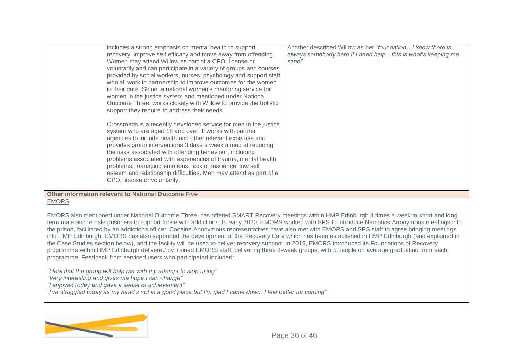| includes a strong emphasis on mental health to support<br>recovery, improve self efficacy and move away from offending.<br>Women may attend Willow as part of a CPO, license or<br>voluntarily and can participate in a variety of groups and courses<br>provided by social workers, nurses, psychology and support staff<br>who all work in partnership to improve outcomes for the women<br>in their care. Shine, a national women's mentoring service for<br>women in the justice system and mentioned under National<br>Outcome Three, works closely with Willow to provide the holistic<br>support they require to address their needs.<br>Crossroads is a recently developed service for men in the justice | Another described Willow as her "foundation I know there is<br>always somebody here if I need helpthis is what's keeping me<br>sane" |
|-------------------------------------------------------------------------------------------------------------------------------------------------------------------------------------------------------------------------------------------------------------------------------------------------------------------------------------------------------------------------------------------------------------------------------------------------------------------------------------------------------------------------------------------------------------------------------------------------------------------------------------------------------------------------------------------------------------------|--------------------------------------------------------------------------------------------------------------------------------------|
| system who are aged 18 and over. It works with partner<br>agencies to include health and other relevant expertise and<br>provides group interventions 3 days a week aimed at reducing<br>the risks associated with offending behaviour, including<br>problems associated with experiences of trauma, mental health<br>problems, managing emotions, lack of resilience, low self<br>esteem and relationship difficulties. Men may attend as part of a<br>CPO, license or voluntarily.                                                                                                                                                                                                                              |                                                                                                                                      |
| <b>Other information relevant to National Outcome Five</b>                                                                                                                                                                                                                                                                                                                                                                                                                                                                                                                                                                                                                                                        |                                                                                                                                      |

#### **EMORS**

EMORS also mentioned under National Outcome Three, has offered SMART Recovery meetings within HMP Edinburgh 4 times a week to short and long term male and female prisoners to support those with addictions. In early 2020, EMORS worked with SPS to introduce Narcotics Anonymous meetings into the prison, facilitated by an addictions officer. Cocaine Anonymous representatives have also met with EMORS and SPS staff to agree bringing meetings into HMP Edinburgh. EMORS has also supported the development of the Recovery Café which has been established in HMP Edinburgh (and explained in the Case Studies section below), and the facility will be used to deliver recovery support. In 2019, EMORS introduced its Foundations of Recovery programme within HMP Edinburgh delivered by trained EMORS staff, delivering three 8-week groups, with 5 people on average graduating from each programme. Feedback from serviced users who participated included:

*"I feel that the group will help me with my attempt to stop using"*

*"Very interesting and gives me hope I can change"*

*"I enjoyed today and gave a sense of achievement"*

*"I've struggled today as my head's not in a good place but I'm glad I came down. I feel better for coming"*

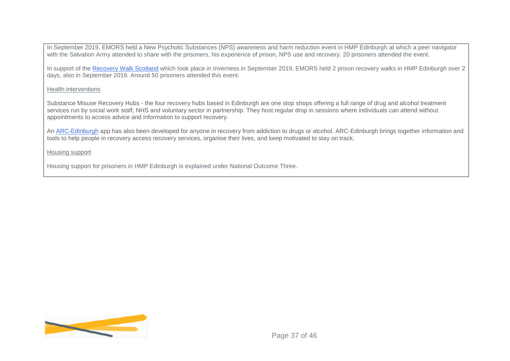In September 2019, EMORS held a New Psychotic Substances (NPS) awareness and harm reduction event in HMP Edinburgh at which a peer navigator with the Salvation Army attended to share with the prisoners, his experience of prison, NPS use and recovery. 20 prisoners attended the event.

In support of the [Recovery Walk Scotland](https://twitter.com/recwalkscot?lang=en) which took place in Inverness in September 2019, EMORS held 2 prison recovery walks in HMP Edinburgh over 2 days, also in September 2019. Around 50 prisoners attended this event.

#### Health interventions

Substance Misuse Recovery Hubs - the four recovery hubs based in Edinburgh are one stop shops offering a full range of drug and alcohol treatment services run by social work staff, NHS and voluntary sector in partnership. They host regular drop in sessions where individuals can attend without appointments to access advice and information to support recovery.

An [ARC-Edinburgh](https://arcapp.co.uk/) app has also been developed for anyone in recovery from addiction to drugs or alcohol. ARC-Edinburgh brings together information and tools to help people in recovery access recovery services, organise their lives, and keep motivated to stay on track.

Housing support

Housing support for prisoners in HMP Edinburgh is explained under National Outcome Three.

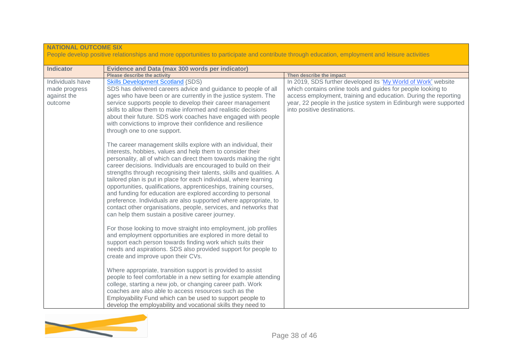| <b>NATIONAL OUTCOME SIX</b><br>People develop positive relationships and more opportunities to participate and contribute through education, employment and leisure activities |                                                                                                                                                                                                                                                                                                                                                                                                                                                                                                                                                                                                                                                                                                                                                    |                                                                                                                                                                                                                                                                                                      |  |  |  |  |
|--------------------------------------------------------------------------------------------------------------------------------------------------------------------------------|----------------------------------------------------------------------------------------------------------------------------------------------------------------------------------------------------------------------------------------------------------------------------------------------------------------------------------------------------------------------------------------------------------------------------------------------------------------------------------------------------------------------------------------------------------------------------------------------------------------------------------------------------------------------------------------------------------------------------------------------------|------------------------------------------------------------------------------------------------------------------------------------------------------------------------------------------------------------------------------------------------------------------------------------------------------|--|--|--|--|
| <b>Indicator</b>                                                                                                                                                               | <b>Evidence and Data (max 300 words per indicator)</b>                                                                                                                                                                                                                                                                                                                                                                                                                                                                                                                                                                                                                                                                                             |                                                                                                                                                                                                                                                                                                      |  |  |  |  |
|                                                                                                                                                                                | <b>Please describe the activity</b>                                                                                                                                                                                                                                                                                                                                                                                                                                                                                                                                                                                                                                                                                                                | Then describe the impact                                                                                                                                                                                                                                                                             |  |  |  |  |
| Individuals have<br>made progress<br>against the<br>outcome                                                                                                                    | <b>Skills Development Scotland (SDS)</b><br>SDS has delivered careers advice and guidance to people of all<br>ages who have been or are currently in the justice system. The<br>service supports people to develop their career management<br>skills to allow them to make informed and realistic decisions<br>about their future. SDS work coaches have engaged with people<br>with convictions to improve their confidence and resilience<br>through one to one support.                                                                                                                                                                                                                                                                         | In 2019, SDS further developed its 'My World of Work' website<br>which contains online tools and guides for people looking to<br>access employment, training and education. During the reporting<br>year, 22 people in the justice system in Edinburgh were supported<br>into positive destinations. |  |  |  |  |
|                                                                                                                                                                                | The career management skills explore with an individual, their<br>interests, hobbies, values and help them to consider their<br>personality, all of which can direct them towards making the right<br>career decisions. Individuals are encouraged to build on their<br>strengths through recognising their talents, skills and qualities. A<br>tailored plan is put in place for each individual, where learning<br>opportunities, qualifications, apprenticeships, training courses,<br>and funding for education are explored according to personal<br>preference. Individuals are also supported where appropriate, to<br>contact other organisations, people, services, and networks that<br>can help them sustain a positive career journey. |                                                                                                                                                                                                                                                                                                      |  |  |  |  |
|                                                                                                                                                                                | For those looking to move straight into employment, job profiles<br>and employment opportunities are explored in more detail to<br>support each person towards finding work which suits their<br>needs and aspirations. SDS also provided support for people to<br>create and improve upon their CVs.<br>Where appropriate, transition support is provided to assist<br>people to feel comfortable in a new setting for example attending                                                                                                                                                                                                                                                                                                          |                                                                                                                                                                                                                                                                                                      |  |  |  |  |
|                                                                                                                                                                                | college, starting a new job, or changing career path. Work<br>coaches are also able to access resources such as the<br>Employability Fund which can be used to support people to<br>develop the employability and vocational skills they need to                                                                                                                                                                                                                                                                                                                                                                                                                                                                                                   |                                                                                                                                                                                                                                                                                                      |  |  |  |  |

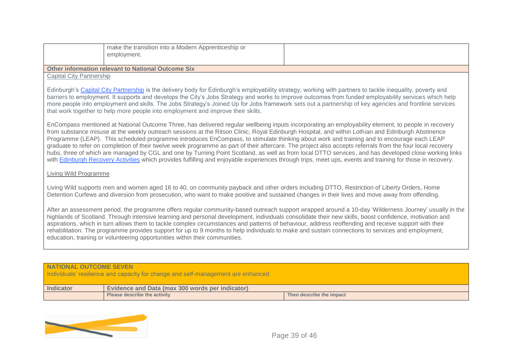|                                                           | make the transition into a Modern Apprenticeship or<br>employment. |  |  |  |
|-----------------------------------------------------------|--------------------------------------------------------------------|--|--|--|
| <b>Other information relevant to National Outcome Six</b> |                                                                    |  |  |  |
| <b>Capital City Partnership</b>                           |                                                                    |  |  |  |

Edinburgh's [Capital City Partnership](https://capitalcitypartnership.co.uk/strategy-1) is the delivery body for Edinburgh's employability strategy, working with partners to tackle inequality, poverty and barriers to employment. It supports and develops the City's Jobs Strategy and works to improve outcomes from funded employability services which help more people into employment and skills. The Jobs Strategy's Joined Up for Jobs framework sets out a partnership of key agencies and frontline services that work together to help more people into employment and improve their skills.

EnCompass mentioned at National Outcome Three, has delivered regular wellbeing inputs incorporating an employability element, to people in recovery from substance misuse at the weekly outreach sessions at the Ritson Clinic, Royal Edinburgh Hospital, and within Lothian and Edinburgh Abstinence Programme (LEAP). This scheduled programme introduces EnCompass, to stimulate thinking about work and training and to encourage each LEAP graduate to refer on completion of their twelve week programme as part of their aftercare. The project also accepts referrals from the four local recovery hubs, three of which are managed by CGL and one by Turning Point Scotland, as well as from local DTTO services, and has developed close working links with [Edinburgh Recovery Activities](https://www.sfad.org.uk/service/edinburgh-recovery-activities) which provides fulfilling and enjoyable experiences through trips, meet ups, events and training for those in recovery.

#### Living Wild Programme

Living Wild supports men and women aged 16 to 40, on community payback and other orders including DTTO, Restriction of Liberty Orders, Home Detention Curfews and diversion from prosecution, who want to make positive and sustained changes in their lives and move away from offending.

After an assessment period, the programme offers regular community-based outreach support wrapped around a 10-day 'Wilderness Journey' usually in the highlands of Scotland. Through intensive learning and personal development, individuals consolidate their new skills, boost confidence, motivation and aspirations, which in turn allows them to tackle complex circumstances and patterns of behaviour, address reoffending and receive support with their rehabilitation. The programme provides support for up to 9 months to help individuals to make and sustain connections to services and employment, education, training or volunteering opportunities within their communities.

#### **NATIONAL OUTCOME SEVEN**

Individuals' resilience and capacity for change and self-management are enhanced

| <b>Indicator</b> | Evidence and Data (max 300 words per indicator) |                          |
|------------------|-------------------------------------------------|--------------------------|
|                  | <b>Please describe the activity</b>             | Then describe the impact |

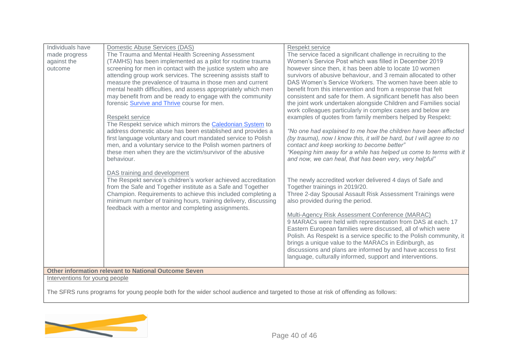| Individuals have               | Domestic Abuse Services (DAS)                                     | Respekt service                                                                                                             |
|--------------------------------|-------------------------------------------------------------------|-----------------------------------------------------------------------------------------------------------------------------|
| made progress                  | The Trauma and Mental Health Screening Assessment                 | The service faced a significant challenge in recruiting to the                                                              |
| against the                    | (TAMHS) has been implemented as a pilot for routine trauma        | Women's Service Post which was filled in December 2019                                                                      |
| outcome                        | screening for men in contact with the justice system who are      | however since then, it has been able to locate 10 women                                                                     |
|                                | attending group work services. The screening assists staff to     | survivors of abusive behaviour, and 3 remain allocated to other                                                             |
|                                | measure the prevalence of trauma in those men and current         | DAS Women's Service Workers. The women have been able to                                                                    |
|                                | mental health difficulties, and assess appropriately which men    | benefit from this intervention and from a response that felt                                                                |
|                                | may benefit from and be ready to engage with the community        | consistent and safe for them. A significant benefit has also been                                                           |
|                                | forensic Survive and Thrive course for men.                       | the joint work undertaken alongside Children and Families social                                                            |
|                                |                                                                   | work colleagues particularly in complex cases and below are                                                                 |
|                                | Respekt service                                                   | examples of quotes from family members helped by Respekt:                                                                   |
|                                | The Respekt service which mirrors the <b>Caledonian System</b> to |                                                                                                                             |
|                                | address domestic abuse has been established and provides a        | "No one had explained to me how the children have been affected                                                             |
|                                | first language voluntary and court mandated service to Polish     | (by trauma), now I know this, it will be hard, but I will agree to no                                                       |
|                                | men, and a voluntary service to the Polish women partners of      | contact and keep working to become better"                                                                                  |
|                                | these men when they are the victim/survivor of the abusive        | "Keeping him away for a while has helped us come to terms with it                                                           |
|                                | behaviour.                                                        | and now, we can heal, that has been very, very helpful"                                                                     |
|                                |                                                                   |                                                                                                                             |
|                                | DAS training and development                                      |                                                                                                                             |
|                                | The Respekt service's children's worker achieved accreditation    | The newly accredited worker delivered 4 days of Safe and                                                                    |
|                                | from the Safe and Together institute as a Safe and Together       | Together trainings in 2019/20.                                                                                              |
|                                | Champion. Requirements to achieve this included completing a      | Three 2-day Spousal Assault Risk Assessment Trainings were                                                                  |
|                                | minimum number of training hours, training delivery, discussing   | also provided during the period.                                                                                            |
|                                | feedback with a mentor and completing assignments.                |                                                                                                                             |
|                                |                                                                   | Multi-Agency Risk Assessment Conference (MARAC)                                                                             |
|                                |                                                                   | 9 MARACs were held with representation from DAS at each. 17                                                                 |
|                                |                                                                   | Eastern European families were discussed, all of which were                                                                 |
|                                |                                                                   | Polish. As Respekt is a service specific to the Polish community, it                                                        |
|                                |                                                                   | brings a unique value to the MARACs in Edinburgh, as                                                                        |
|                                |                                                                   | discussions and plans are informed by and have access to first<br>language, culturally informed, support and interventions. |
|                                |                                                                   |                                                                                                                             |
|                                | <b>Other information relevant to National Outcome Seven</b>       |                                                                                                                             |
| Interventions for young people |                                                                   |                                                                                                                             |

The SFRS runs programs for young people both for the wider school audience and targeted to those at risk of offending as follows:

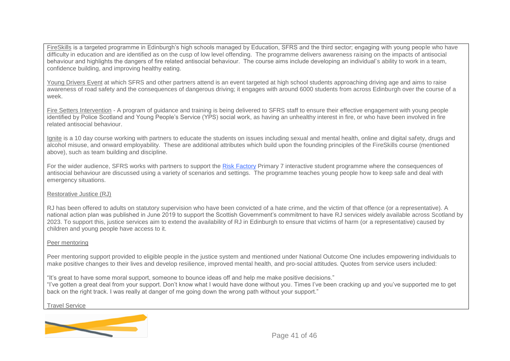FireSkills is a targeted programme in Edinburgh's high schools managed by Education, SFRS and the third sector; engaging with young people who have difficulty in education and are identified as on the cusp of low level offending. The programme delivers awareness raising on the impacts of antisocial behaviour and highlights the dangers of fire related antisocial behaviour. The course aims include developing an individual's ability to work in a team, confidence building, and improving healthy eating.

Young Drivers Event at which SFRS and other partners attend is an event targeted at high school students approaching driving age and aims to raise awareness of road safety and the consequences of dangerous driving; it engages with around 6000 students from across Edinburgh over the course of a week.

Fire Setters Intervention - A program of guidance and training is being delivered to SFRS staff to ensure their effective engagement with young people identified by Police Scotland and Young People's Service (YPS) social work, as having an unhealthy interest in fire, or who have been involved in fire related antisocial behaviour.

Ignite is a 10 day course working with partners to educate the students on issues including sexual and mental health, online and digital safety, drugs and alcohol misuse, and onward employability. These are additional attributes which build upon the founding principles of the FireSkills course (mentioned above), such as team building and discipline.

For the wider audience, SFRS works with partners to support the [Risk Factory](https://theriskfactory.org/) Primary 7 interactive student programme where the consequences of antisocial behaviour are discussed using a variety of scenarios and settings. The programme teaches young people how to keep safe and deal with emergency situations.

#### Restorative Justice (RJ)

RJ has been offered to adults on statutory supervision who have been convicted of a hate crime, and the victim of that offence (or a representative). A national action plan was published in June 2019 to support the Scottish Government's commitment to have RJ services widely available across Scotland by 2023. To support this, justice services aim to extend the availability of RJ in Edinburgh to ensure that victims of harm (or a representative) caused by children and young people have access to it.

#### Peer mentoring

Peer mentoring support provided to eligible people in the justice system and mentioned under National Outcome One includes empowering individuals to make positive changes to their lives and develop resilience, improved mental health, and pro-social attitudes. Quotes from service users included:

"It's great to have some moral support, someone to bounce ideas off and help me make positive decisions." "I've gotten a great deal from your support. Don't know what I would have done without you. Times I've been cracking up and you've supported me to get back on the right track. I was really at danger of me going down the wrong path without your support."

Travel Service

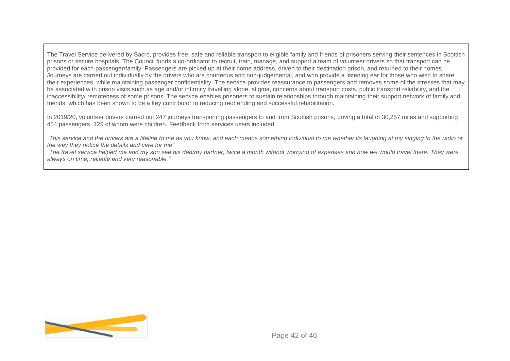The Travel Service delivered by Sacro, provides free, safe and reliable transport to eligible family and friends of prisoners serving their sentences in Scottish prisons or secure hospitals. The Council funds a co-ordinator to recruit, train, manage, and support a team of volunteer drivers so that transport can be provided for each passenger/family. Passengers are picked up at their home address, driven to their destination prison, and returned to their homes. Journeys are carried out individually by the drivers who are courteous and non-judgemental, and who provide a listening ear for those who wish to share their experiences, while maintaining passenger confidentiality. The service provides reassurance to passengers and removes some of the stresses that may be associated with prison visits such as age and/or infirmity travelling alone, stigma, concerns about transport costs, public transport reliability, and the inaccessibility/ remoteness of some prisons. The service enables prisoners to sustain relationships through maintaining their support network of family and friends, which has been shown to be a key contributor to reducing reoffending and successful rehabilitation.

In 2019/20, volunteer drivers carried out 247 journeys transporting passengers to and from Scottish prisons, driving a total of 30,257 miles and supporting 454 passengers, 125 of whom were children. Feedback from services users included:

*"This service and the drivers are a lifeline to me as you know, and each means something individual to me whether its laughing at my singing to the radio or the way they notice the details and care for me"*

*"The travel service helped me and my son see his dad/my partner, twice a month without worrying of expenses and how we would travel there. They were always on time, reliable and very reasonable."*

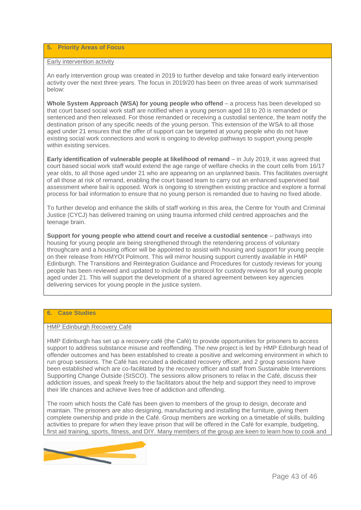#### **5. Priority Areas of Focus**

#### Early intervention activity

An early intervention group was created in 2019 to further develop and take forward early intervention activity over the next three years. The focus in 2019/20 has been on three areas of work summarised below:

**Whole System Approach (WSA) for young people who offend** – a process has been developed so that court based social work staff are notified when a young person aged 18 to 20 is remanded or sentenced and then released. For those remanded or receiving a custodial sentence, the team notify the destination prison of any specific needs of the young person. This extension of the WSA to all those aged under 21 ensures that the offer of support can be targeted at young people who do not have existing social work connections and work is ongoing to develop pathways to support young people within existing services.

**Early identification of vulnerable people at likelihood of remand** – in July 2019, it was agreed that court based social work staff would extend the age range of welfare checks in the court cells from 16/17 year olds, to all those aged under 21 who are appearing on an unplanned basis. This facilitates oversight of all those at risk of remand, enabling the court based team to carry out an enhanced supervised bail assessment where bail is opposed. Work is ongoing to strengthen existing practice and explore a formal process for bail information to ensure that no young person is remanded due to having no fixed abode.

To further develop and enhance the skills of staff working in this area, the Centre for Youth and Criminal Justice (CYCJ) has delivered training on using trauma informed child centred approaches and the teenage brain.

**Support for young people who attend court and receive a custodial sentence** – pathways into housing for young people are being strengthened through the retendering process of voluntary throughcare and a housing officer will be appointed to assist with housing and support for young people on their release from HMYOI Polmont. This will mirror housing support currently available in HMP Edinburgh. The Transitions and Reintegration Guidance and Procedures for custody reviews for young people has been reviewed and updated to include the protocol for custody reviews for all young people aged under 21. This will support the development of a shared agreement between key agencies delivering services for young people in the justice system.

### **6. Case Studies**

#### HMP Edinburgh Recovery Café

HMP Edinburgh has set up a recovery café (the Café) to provide opportunities for prisoners to access support to address substance misuse and reoffending. The new project is led by HMP Edinburgh head of offender outcomes and has been established to create a positive and welcoming environment in which to run group sessions. The Café has recruited a dedicated recovery officer, and 2 group sessions have been established which are co-facilitated by the recovery officer and staff from Sustainable Interventions Supporting Change Outside (SISCO). The sessions allow prisoners to relax in the Café, discuss their addiction issues, and speak freely to the facilitators about the help and support they need to improve their life chances and achieve lives free of addiction and offending.

The room which hosts the Café has been given to members of the group to design, decorate and maintain. The prisoners are also designing, manufacturing and installing the furniture, giving them complete ownership and pride in the Café. Group members are working on a timetable of skills, building activities to prepare for when they leave prison that will be offered in the Café for example, budgeting, first aid training, sports, fitness, and DIY. Many members of the group are keen to learn how to cook and

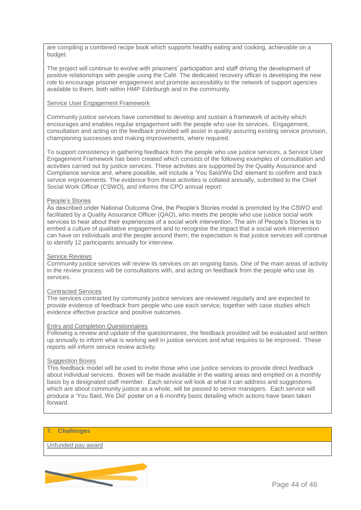are compiling a combined recipe book which supports healthy eating and cooking, achievable on a budget.

The project will continue to evolve with prisoners' participation and staff driving the development of positive relationships with people using the Café. The dedicated recovery officer is developing the new role to encourage prisoner engagement and promote accessibility to the network of support agencies available to them, both within HMP Edinburgh and in the community.

#### Service User Engagement Framework

Community justice services have committed to develop and sustain a framework of activity which encourages and enables regular engagement with the people who use its services. Engagement, consultation and acting on the feedback provided will assist in quality assuring existing service provision, championing successes and making improvements, where required.

To support consistency in gathering feedback from the people who use justice services, a Service User Engagement Framework has been created which consists of the following examples of consultation and activities carried out by justice services. These activities are supported by the Quality Assurance and Compliance service and, where possible, will include a 'You Said/We Did' element to confirm and track service improvements. The evidence from these activities is collated annually, submitted to the Chief Social Work Officer (CSWO), and informs the CPO annual report:

#### People's Stories

As described under National Outcome One, the People's Stories model is promoted by the CSWO and facilitated by a Quality Assurance Officer (QAO), who meets the people who use justice social work services to hear about their experiences of a social work intervention. The aim of People's Stories is to embed a culture of qualitative engagement and to recognise the impact that a social work intervention can have on individuals and the people around them; the expectation is that justice services will continue to identify 12 participants annually for interview.

#### Service Reviews

Community justice services will review its services on an ongoing basis. One of the main areas of activity in the review process will be consultations with, and acting on feedback from the people who use its services.

#### Contracted Services

The services contracted by community justice services are reviewed regularly and are expected to provide evidence of feedback from people who use each service, together with case studies which evidence effective practice and positive outcomes.

#### Entry and Completion Questionnaires

Following a review and update of the questionnaires, the feedback provided will be evaluated and written up annually to inform what is working well in justice services and what requires to be improved. These reports will inform service review activity.

#### Suggestion Boxes

This feedback model will be used to invite those who use justice services to provide direct feedback about individual services. Boxes will be made available in the waiting areas and emptied on a monthly basis by a designated staff member. Each service will look at what it can address and suggestions which are about community justice as a whole, will be passed to senior managers. Each service will produce a 'You Said, We Did' poster on a 6-monthly basis detailing which actions have been taken forward.

#### **7. Challenges**

Unfunded pay award

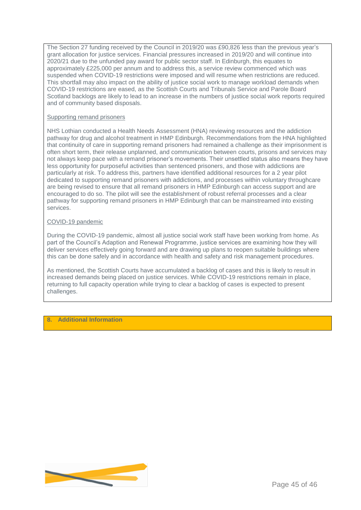The Section 27 funding received by the Council in 2019/20 was £90,826 less than the previous year's grant allocation for justice services. Financial pressures increased in 2019/20 and will continue into 2020/21 due to the unfunded pay award for public sector staff. In Edinburgh, this equates to approximately £225,000 per annum and to address this, a service review commenced which was suspended when COVID-19 restrictions were imposed and will resume when restrictions are reduced. This shortfall may also impact on the ability of justice social work to manage workload demands when COVID-19 restrictions are eased, as the Scottish Courts and Tribunals Service and Parole Board Scotland backlogs are likely to lead to an increase in the numbers of justice social work reports required and of community based disposals.

#### Supporting remand prisoners

NHS Lothian conducted a Health Needs Assessment (HNA) reviewing resources and the addiction pathway for drug and alcohol treatment in HMP Edinburgh. Recommendations from the HNA highlighted that continuity of care in supporting remand prisoners had remained a challenge as their imprisonment is often short term, their release unplanned, and communication between courts, prisons and services may not always keep pace with a remand prisoner's movements. Their unsettled status also means they have less opportunity for purposeful activities than sentenced prisoners, and those with addictions are particularly at risk. To address this, partners have identified additional resources for a 2 year pilot dedicated to supporting remand prisoners with addictions, and processes within voluntary throughcare are being revised to ensure that all remand prisoners in HMP Edinburgh can access support and are encouraged to do so. The pilot will see the establishment of robust referral processes and a clear pathway for supporting remand prisoners in HMP Edinburgh that can be mainstreamed into existing services.

#### COVID-19 pandemic

During the COVID-19 pandemic, almost all justice social work staff have been working from home. As part of the Council's Adaption and Renewal Programme, justice services are examining how they will deliver services effectively going forward and are drawing up plans to reopen suitable buildings where this can be done safely and in accordance with health and safety and risk management procedures.

As mentioned, the Scottish Courts have accumulated a backlog of cases and this is likely to result in increased demands being placed on justice services. While COVID-19 restrictions remain in place, returning to full capacity operation while trying to clear a backlog of cases is expected to present challenges.

# **8. Additional Information**